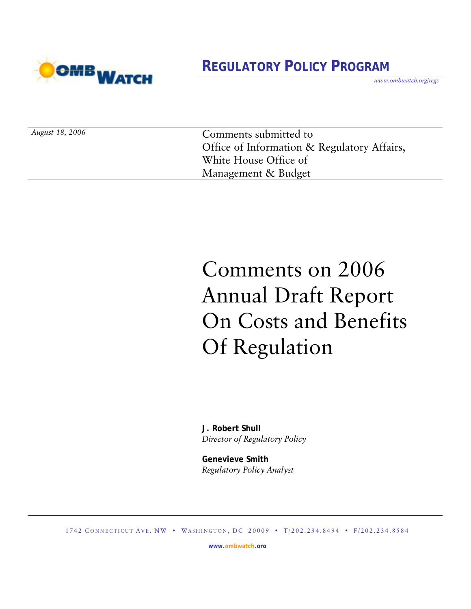

## **REGULATORY POLICY PROGRAM**

*www.ombwatch.org/regs* 

Comments submitted to Office of Information & Regulatory Affairs, White House Office of Management & Budget

# Comments on 2006 Annual Draft Report On Costs and Benefits Of Regulation

 **J. Robert Shull**  *Director of Regulatory Policy* 

**Genevieve Smith**  *Regulatory Policy Analyst* 

1742 CONNECTICUT AVE. NW • WASHINGTON, DC 20009 • T/202.234.8494 • F/202.234.8584

**www.ombwatch.org**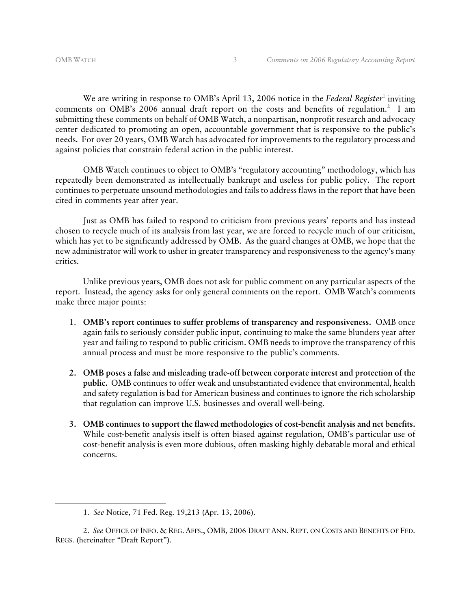We are writing in response to OMB's April 13, 2006 notice in the *Federal Register*<sup>1</sup> inviting comments on OMB's 2006 annual draft report on the costs and benefits of regulation.<sup>2</sup> I am submitting these comments on behalf of OMB Watch, a nonpartisan, nonprofit research and advocacy center dedicated to promoting an open, accountable government that is responsive to the public's needs. For over 20 years, OMB Watch has advocated for improvements to the regulatory process and against policies that constrain federal action in the public interest.

OMB Watch continues to object to OMB's "regulatory accounting" methodology, which has repeatedly been demonstrated as intellectually bankrupt and useless for public policy. The report continues to perpetuate unsound methodologies and fails to address flaws in the report that have been cited in comments year after year.

Just as OMB has failed to respond to criticism from previous years' reports and has instead chosen to recycle much of its analysis from last year, we are forced to recycle much of our criticism, which has yet to be significantly addressed by OMB. As the guard changes at OMB, we hope that the new administrator will work to usher in greater transparency and responsiveness to the agency's many critics.

 Unlike previous years, OMB does not ask for public comment on any particular aspects of the report. Instead, the agency asks for only general comments on the report. OMB Watch's comments make three major points:

- 1. **OMB's report continues to suffer problems of transparency and responsiveness.** OMB once again fails to seriously consider public input, continuing to make the same blunders year after year and failing to respond to public criticism. OMB needs to improve the transparency of this annual process and must be more responsive to the public's comments.
- **2. OMB poses a false and misleading trade-off between corporate interest and protection of the public.** OMB continues to offer weak and unsubstantiated evidence that environmental, health and safety regulation is bad for American business and continues to ignore the rich scholarship that regulation can improve U.S. businesses and overall well-being.
- **3. OMB continues to support the flawed methodologies of cost-benefit analysis and net benefits.** While cost-benefit analysis itself is often biased against regulation, OMB's particular use of cost-benefit analysis is even more dubious, often masking highly debatable moral and ethical concerns.

<sup>1.</sup> *See* Notice, 71 Fed. Reg. 19,213 (Apr. 13, 2006).

<sup>2.</sup> *See* OFFICE OF INFO. & REG. AFFS., OMB, 2006 DRAFT ANN. REPT. ON COSTS AND BENEFITS OF FED. REGS. (hereinafter "Draft Report").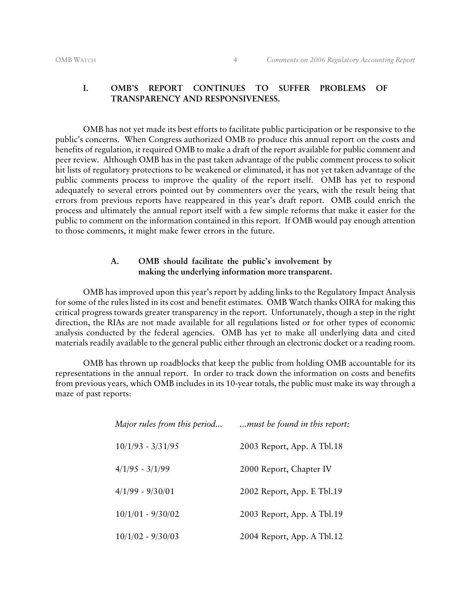#### OMB WATCH 4 *Comments on 2006 Regulatory Accounting Report*

### **I. OMB'S REPORT CONTINUES TO SUFFER PROBLEMS OF TRANSPARENCY AND RESPONSIVENESS.**

OMB has not yet made its best efforts to facilitate public participation or be responsive to the public's concerns. When Congress authorized OMB to produce this annual report on the costs and benefits of regulation, it required OMB to make a draft of the report available for public comment and peer review. Although OMB has in the past taken advantage of the public comment process to solicit hit lists of regulatory protections to be weakened or eliminated, it has not yet taken advantage of the public comments process to improve the quality of the report itself. OMB has yet to respond adequately to several errors pointed out by commenters over the years, with the result being that errors from previous reports have reappeared in this year's draft report. OMB could enrich the process and ultimately the annual report itself with a few simple reforms that make it easier for the public to comment on the information contained in this report. If OMB would pay enough attention to those comments, it might make fewer errors in the future.

#### **A. OMB should facilitate the public's involvement by making the underlying information more transparent.**

OMB has improved upon this year's report by adding links to the Regulatory Impact Analysis for some of the rules listed in its cost and benefit estimates. OMB Watch thanks OIRA for making this critical progress towards greater transparency in the report. Unfortunately, though a step in the right direction, the RIAs are not made available for all regulations listed or for other types of economic analysis conducted by the federal agencies. OMB has yet to make all underlying data and cited materials readily available to the general public either through an electronic docket or a reading room.

OMB has thrown up roadblocks that keep the public from holding OMB accountable for its representations in the annual report. In order to track down the information on costs and benefits from previous years, which OMB includes in its 10-year totals, the public must make its way through a maze of past reports:

| Major rules from this period | must be found in this report: |
|------------------------------|-------------------------------|
| $10/1/93 - 3/31/95$          | 2003 Report, App. A Tbl.18    |
| $4/1/95 - 3/1/99$            | 2000 Report, Chapter IV       |
| $4/1/99 - 9/30/01$           | 2002 Report, App. E Tbl.19    |
| $10/1/01 - 9/30/02$          | 2003 Report, App. A Tbl.19    |
| $10/1/02 - 9/30/03$          | 2004 Report, App. A Tbl.12    |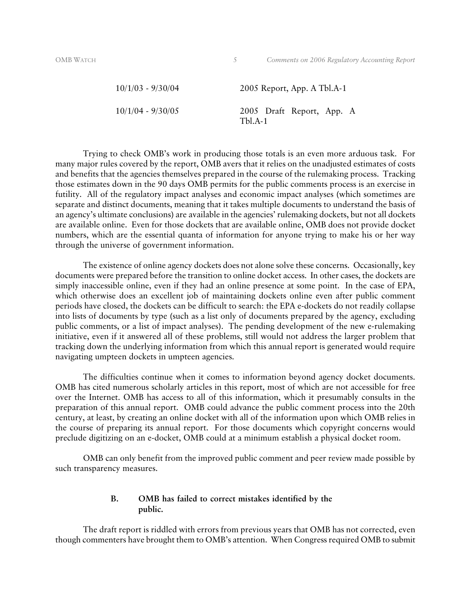| $10/1/03 - 9/30/04$ | 2005 Report, App. A Tbl.A-1            |
|---------------------|----------------------------------------|
| $10/1/04 - 9/30/05$ | 2005 Draft Report, App. A<br>$Tbl.A-1$ |

Trying to check OMB's work in producing those totals is an even more arduous task. For many major rules covered by the report, OMB avers that it relies on the unadjusted estimates of costs and benefits that the agencies themselves prepared in the course of the rulemaking process. Tracking those estimates down in the 90 days OMB permits for the public comments process is an exercise in futility. All of the regulatory impact analyses and economic impact analyses (which sometimes are separate and distinct documents, meaning that it takes multiple documents to understand the basis of an agency's ultimate conclusions) are available in the agencies' rulemaking dockets, but not all dockets are available online. Even for those dockets that are available online, OMB does not provide docket numbers, which are the essential quanta of information for anyone trying to make his or her way through the universe of government information.

The existence of online agency dockets does not alone solve these concerns. Occasionally, key documents were prepared before the transition to online docket access. In other cases, the dockets are simply inaccessible online, even if they had an online presence at some point. In the case of EPA, which otherwise does an excellent job of maintaining dockets online even after public comment periods have closed, the dockets can be difficult to search: the EPA e-dockets do not readily collapse into lists of documents by type (such as a list only of documents prepared by the agency, excluding public comments, or a list of impact analyses). The pending development of the new e-rulemaking initiative, even if it answered all of these problems, still would not address the larger problem that tracking down the underlying information from which this annual report is generated would require navigating umpteen dockets in umpteen agencies.

The difficulties continue when it comes to information beyond agency docket documents. OMB has cited numerous scholarly articles in this report, most of which are not accessible for free over the Internet. OMB has access to all of this information, which it presumably consults in the preparation of this annual report. OMB could advance the public comment process into the 20th century, at least, by creating an online docket with all of the information upon which OMB relies in the course of preparing its annual report. For those documents which copyright concerns would preclude digitizing on an e-docket, OMB could at a minimum establish a physical docket room.

OMB can only benefit from the improved public comment and peer review made possible by such transparency measures.

#### **B. OMB has failed to correct mistakes identified by the public.**

The draft report is riddled with errors from previous years that OMB has not corrected, even though commenters have brought them to OMB's attention. When Congress required OMB to submit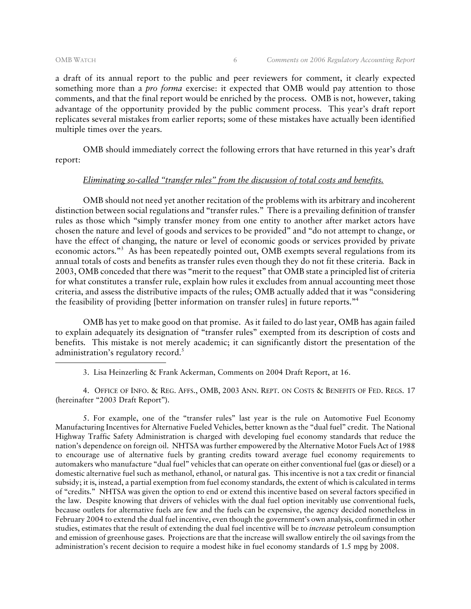a draft of its annual report to the public and peer reviewers for comment, it clearly expected something more than a *pro forma* exercise: it expected that OMB would pay attention to those comments, and that the final report would be enriched by the process. OMB is not, however, taking advantage of the opportunity provided by the public comment process. This year's draft report replicates several mistakes from earlier reports; some of these mistakes have actually been identified multiple times over the years.

OMB should immediately correct the following errors that have returned in this year's draft report:

#### *Eliminating so-called "transfer rules" from the discussion of total costs and benefits.*

OMB should not need yet another recitation of the problems with its arbitrary and incoherent distinction between social regulations and "transfer rules." There is a prevailing definition of transfer rules as those which "simply transfer money from one entity to another after market actors have chosen the nature and level of goods and services to be provided" and "do not attempt to change, or have the effect of changing, the nature or level of economic goods or services provided by private economic actors."<sup>3</sup> As has been repeatedly pointed out, OMB exempts several regulations from its annual totals of costs and benefits as transfer rules even though they do not fit these criteria. Back in 2003, OMB conceded that there was "merit to the request" that OMB state a principled list of criteria for what constitutes a transfer rule, explain how rules it excludes from annual accounting meet those criteria, and assess the distributive impacts of the rules; OMB actually added that it was "considering the feasibility of providing [better information on transfer rules] in future reports."4

OMB has yet to make good on that promise. As it failed to do last year, OMB has again failed to explain adequately its designation of "transfer rules" exempted from its description of costs and benefits. This mistake is not merely academic; it can significantly distort the presentation of the administration's regulatory record. $5$ 

3. Lisa Heinzerling & Frank Ackerman, Comments on 2004 Draft Report, at 16.

4. OFFICE OF INFO. & REG. AFFS., OMB, 2003 ANN. REPT. ON COSTS & BENEFITS OF FED. REGS. 17 (hereinafter "2003 Draft Report").

5. For example, one of the "transfer rules" last year is the rule on Automotive Fuel Economy Manufacturing Incentives for Alternative Fueled Vehicles, better known as the "dual fuel" credit. The National Highway Traffic Safety Administration is charged with developing fuel economy standards that reduce the nation's dependence on foreign oil. NHTSA was further empowered by the Alternative Motor Fuels Act of 1988 to encourage use of alternative fuels by granting credits toward average fuel economy requirements to automakers who manufacture "dual fuel" vehicles that can operate on either conventional fuel (gas or diesel) or a domestic alternative fuel such as methanol, ethanol, or natural gas. This incentive is not a tax credit or financial subsidy; it is, instead, a partial exemption from fuel economy standards, the extent of which is calculated in terms of "credits." NHTSA was given the option to end or extend this incentive based on several factors specified in the law. Despite knowing that drivers of vehicles with the dual fuel option inevitably use conventional fuels, because outlets for alternative fuels are few and the fuels can be expensive, the agency decided nonetheless in February 2004 to extend the dual fuel incentive, even though the government's own analysis, confirmed in other studies, estimates that the result of extending the dual fuel incentive will be to *increase* petroleum consumption and emission of greenhouse gases. Projections are that the increase will swallow entirely the oil savings from the administration's recent decision to require a modest hike in fuel economy standards of 1.5 mpg by 2008.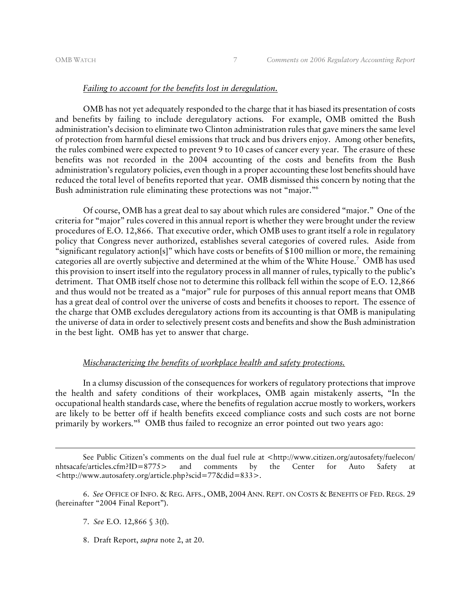#### *Failing to account for the benefits lost in deregulation.*

OMB has not yet adequately responded to the charge that it has biased its presentation of costs and benefits by failing to include deregulatory actions. For example, OMB omitted the Bush administration's decision to eliminate two Clinton administration rules that gave miners the same level of protection from harmful diesel emissions that truck and bus drivers enjoy. Among other benefits, the rules combined were expected to prevent 9 to 10 cases of cancer every year. The erasure of these benefits was not recorded in the 2004 accounting of the costs and benefits from the Bush administration's regulatory policies, even though in a proper accounting these lost benefits should have reduced the total level of benefits reported that year. OMB dismissed this concern by noting that the Bush administration rule eliminating these protections was not "major."6

Of course, OMB has a great deal to say about which rules are considered "major." One of the criteria for "major" rules covered in this annual report is whether they were brought under the review procedures of E.O. 12,866. That executive order, which OMB uses to grant itself a role in regulatory policy that Congress never authorized, establishes several categories of covered rules. Aside from "significant regulatory action[s]" which have costs or benefits of \$100 million or more, the remaining categories all are overtly subjective and determined at the whim of the White House.7 OMB has used this provision to insert itself into the regulatory process in all manner of rules, typically to the public's detriment. That OMB itself chose not to determine this rollback fell within the scope of E.O. 12,866 and thus would not be treated as a "major" rule for purposes of this annual report means that OMB has a great deal of control over the universe of costs and benefits it chooses to report. The essence of the charge that OMB excludes deregulatory actions from its accounting is that OMB is manipulating the universe of data in order to selectively present costs and benefits and show the Bush administration in the best light. OMB has yet to answer that charge.

#### *Mischaracterizing the benefits of workplace health and safety protections.*

In a clumsy discussion of the consequences for workers of regulatory protections that improve the health and safety conditions of their workplaces, OMB again mistakenly asserts, "In the occupational health standards case, where the benefits of regulation accrue mostly to workers, workers are likely to be better off if health benefits exceed compliance costs and such costs are not borne primarily by workers."8 OMB thus failed to recognize an error pointed out two years ago:

See Public Citizen's comments on the dual fuel rule at <http://www.citizen.org/autosafety/fuelecon/ nhtsacafe/articles.cfm?ID=8775> and comments by the Center for Auto Safety at <http://www.autosafety.org/article.php?scid=77&did=833>.

6. *See* OFFICE OF INFO. & REG. AFFS., OMB, 2004 ANN. REPT. ON COSTS & BENEFITS OF FED. REGS. 29 (hereinafter "2004 Final Report").

7. *See* E.O. 12,866 § 3(f).

8. Draft Report, *supra* note 2, at 20.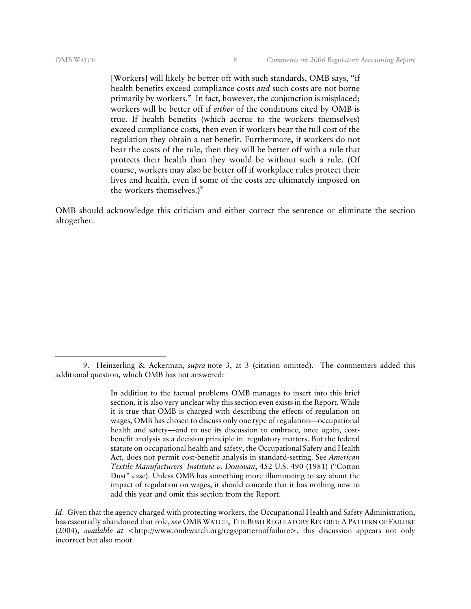[Workers] will likely be better off with such standards, OMB says, "if health benefits exceed compliance costs *and* such costs are not borne primarily by workers." In fact, however, the conjunction is misplaced; workers will be better off if *either* of the conditions cited by OMB is true. If health benefits (which accrue to the workers themselves) exceed compliance costs, then even if workers bear the full cost of the regulation they obtain a net benefit. Furthermore, if workers do not bear the costs of the rule, then they will be better off with a rule that protects their health than they would be without such a rule. (Of course, workers may also be better off if workplace rules protect their lives and health, even if some of the costs are ultimately imposed on the workers themselves.)<sup>9</sup>

OMB should acknowledge this criticism and either correct the sentence or eliminate the section altogether.

<sup>9.</sup> Heinzerling & Ackerman, *supra* note 3, at 3 (citation omitted). The commenters added this additional question, which OMB has not answered:

In addition to the factual problems OMB manages to insert into this brief section, it is also very unclear why this section even exists in the Report. While it is true that OMB is charged with describing the effects of regulation on wages, OMB has chosen to discuss only one type of regulation—occupational health and safety—and to use its discussion to embrace, once again, costbenefit analysis as a decision principle in regulatory matters. But the federal statute on occupational health and safety, the Occupational Safety and Health Act, does not permit cost-benefit analysis in standard-setting. See *American Textile Manufacturers' Institute v. Donovan*, 452 U.S. 490 (1981) ("Cotton Dust" case). Unless OMB has something more illuminating to say about the impact of regulation on wages, it should concede that it has nothing new to add this year and omit this section from the Report.

*Id*. Given that the agency charged with protecting workers, the Occupational Health and Safety Administration, has essentially abandoned that role, *see* OMB WATCH, THE BUSH REGULATORY RECORD: A PATTERN OF FAILURE (2004), *available at* <http://www.ombwatch.org/regs/patternoffailure>, this discussion appears not only incorrect but also moot.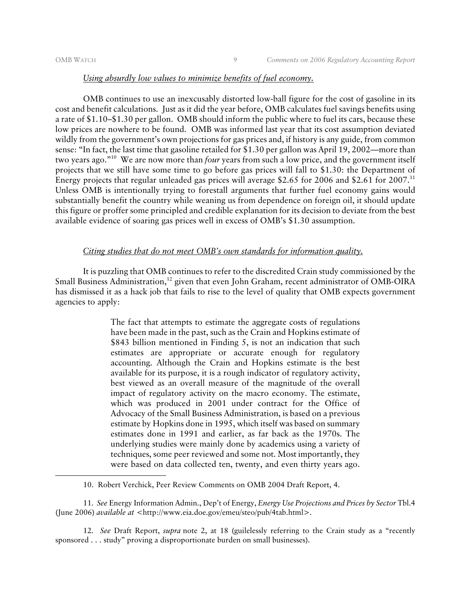#### *Using absurdly low values to minimize benefits of fuel economy.*

OMB continues to use an inexcusably distorted low-ball figure for the cost of gasoline in its cost and benefit calculations. Just as it did the year before, OMB calculates fuel savings benefits using a rate of \$1.10–\$1.30 per gallon. OMB should inform the public where to fuel its cars, because these low prices are nowhere to be found. OMB was informed last year that its cost assumption deviated wildly from the government's own projections for gas prices and, if history is any guide, from common sense: "In fact, the last time that gasoline retailed for \$1.30 per gallon was April 19, 2002—more than two years ago."10 We are now more than *four* years from such a low price, and the government itself projects that we still have some time to go before gas prices will fall to \$1.30: the Department of Energy projects that regular unleaded gas prices will average \$2.65 for 2006 and \$2.61 for 2007.11 Unless OMB is intentionally trying to forestall arguments that further fuel economy gains would substantially benefit the country while weaning us from dependence on foreign oil, it should update this figure or proffer some principled and credible explanation for its decision to deviate from the best available evidence of soaring gas prices well in excess of OMB's \$1.30 assumption.

#### *Citing studies that do not meet OMB's own standards for information quality.*

It is puzzling that OMB continues to refer to the discredited Crain study commissioned by the Small Business Administration,<sup>12</sup> given that even John Graham, recent administrator of OMB-OIRA has dismissed it as a hack job that fails to rise to the level of quality that OMB expects government agencies to apply:

> The fact that attempts to estimate the aggregate costs of regulations have been made in the past, such as the Crain and Hopkins estimate of \$843 billion mentioned in Finding 5, is not an indication that such estimates are appropriate or accurate enough for regulatory accounting. Although the Crain and Hopkins estimate is the best available for its purpose, it is a rough indicator of regulatory activity, best viewed as an overall measure of the magnitude of the overall impact of regulatory activity on the macro economy. The estimate, which was produced in 2001 under contract for the Office of Advocacy of the Small Business Administration, is based on a previous estimate by Hopkins done in 1995, which itself was based on summary estimates done in 1991 and earlier, as far back as the 1970s. The underlying studies were mainly done by academics using a variety of techniques, some peer reviewed and some not. Most importantly, they were based on data collected ten, twenty, and even thirty years ago.

11. *See* Energy Information Admin., Dep't of Energy, *Energy Use Projections and Prices by Sector* Tbl.4 (June 2006) *available at* <http://www.eia.doe.gov/emeu/steo/pub/4tab.html>.

12. *See* Draft Report, *supra* note 2, at 18 (guilelessly referring to the Crain study as a "recently sponsored . . . study" proving a disproportionate burden on small businesses).

<sup>10.</sup> Robert Verchick, Peer Review Comments on OMB 2004 Draft Report, 4.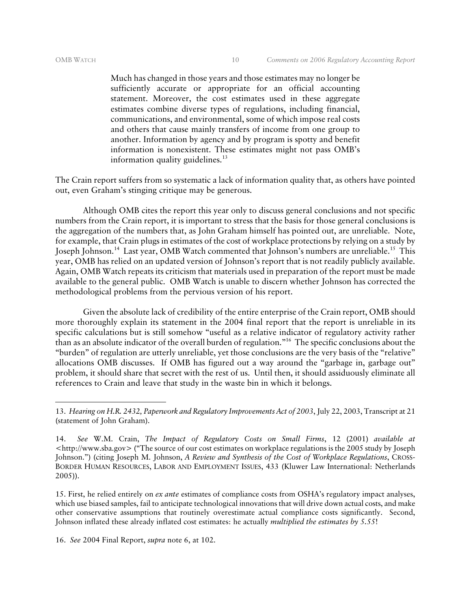Much has changed in those years and those estimates may no longer be sufficiently accurate or appropriate for an official accounting statement. Moreover, the cost estimates used in these aggregate estimates combine diverse types of regulations, including financial, communications, and environmental, some of which impose real costs and others that cause mainly transfers of income from one group to another. Information by agency and by program is spotty and benefit information is nonexistent. These estimates might not pass OMB's information quality guidelines. $13$ 

The Crain report suffers from so systematic a lack of information quality that, as others have pointed out, even Graham's stinging critique may be generous.

Although OMB cites the report this year only to discuss general conclusions and not specific numbers from the Crain report, it is important to stress that the basis for those general conclusions is the aggregation of the numbers that, as John Graham himself has pointed out, are unreliable. Note, for example, that Crain plugs in estimates of the cost of workplace protections by relying on a study by Joseph Johnson.<sup>14</sup> Last year, OMB Watch commented that Johnson's numbers are unreliable.<sup>15</sup> This year, OMB has relied on an updated version of Johnson's report that is not readily publicly available. Again, OMB Watch repeats its criticism that materials used in preparation of the report must be made available to the general public. OMB Watch is unable to discern whether Johnson has corrected the methodological problems from the pervious version of his report.

Given the absolute lack of credibility of the entire enterprise of the Crain report, OMB should more thoroughly explain its statement in the 2004 final report that the report is unreliable in its specific calculations but is still somehow "useful as a relative indicator of regulatory activity rather than as an absolute indicator of the overall burden of regulation."16 The specific conclusions about the "burden" of regulation are utterly unreliable, yet those conclusions are the very basis of the "relative" allocations OMB discusses. If OMB has figured out a way around the "garbage in, garbage out" problem, it should share that secret with the rest of us. Until then, it should assiduously eliminate all references to Crain and leave that study in the waste bin in which it belongs.

15. First, he relied entirely on *ex ante* estimates of compliance costs from OSHA's regulatory impact analyses, which use biased samples, fail to anticipate technological innovations that will drive down actual costs, and make other conservative assumptions that routinely overestimate actual compliance costs significantly. Second, Johnson inflated these already inflated cost estimates: he actually *multiplied the estimates by 5.55*!

16. *See* 2004 Final Report, *supra* note 6, at 102.

<sup>13.</sup> *Hearing on H.R. 2432, Paperwork and Regulatory Improvements Act of 2003*, July 22, 2003, Transcript at 21 (statement of John Graham).

<sup>14.</sup> *See* W.M. Crain, *The Impact of Regulatory Costs on Small Firms*, 12 (2001) *available at*  <http://www.sba.gov> ("The source of our cost estimates on workplace regulations is the 2005 study by Joseph Johnson.") (citing Joseph M. Johnson, *A Review and Synthesis of the Cost of Workplace Regulations*, CROSS-BORDER HUMAN RESOURCES, LABOR AND EMPLOYMENT ISSUES, 433 (Kluwer Law International: Netherlands 2005)).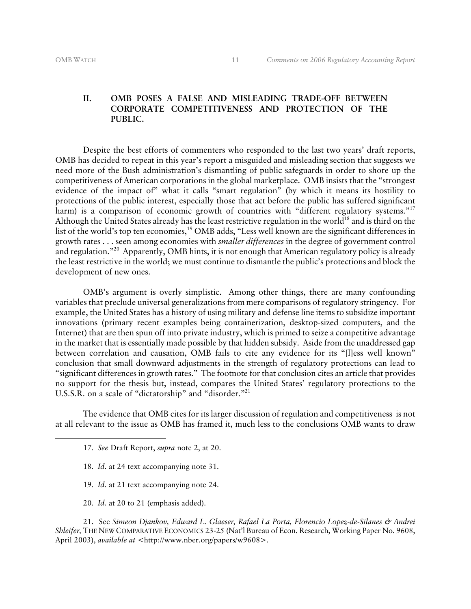#### **II. OMB POSES A FALSE AND MISLEADING TRADE-OFF BETWEEN CORPORATE COMPETITIVENESS AND PROTECTION OF THE PUBLIC.**

Despite the best efforts of commenters who responded to the last two years' draft reports, OMB has decided to repeat in this year's report a misguided and misleading section that suggests we need more of the Bush administration's dismantling of public safeguards in order to shore up the competitiveness of American corporations in the global marketplace. OMB insists that the "strongest evidence of the impact of" what it calls "smart regulation" (by which it means its hostility to protections of the public interest, especially those that act before the public has suffered significant harm) is a comparison of economic growth of countries with "different regulatory systems."<sup>17</sup> Although the United States already has the least restrictive regulation in the world<sup>18</sup> and is third on the list of the world's top ten economies,<sup>19</sup> OMB adds, "Less well known are the significant differences in growth rates . . . seen among economies with *smaller differences* in the degree of government control and regulation."20 Apparently, OMB hints, it is not enough that American regulatory policy is already the least restrictive in the world; we must continue to dismantle the public's protections and block the development of new ones.

OMB's argument is overly simplistic. Among other things, there are many confounding variables that preclude universal generalizations from mere comparisons of regulatory stringency. For example, the United States has a history of using military and defense line items to subsidize important innovations (primary recent examples being containerization, desktop-sized computers, and the Internet) that are then spun off into private industry, which is primed to seize a competitive advantage in the market that is essentially made possible by that hidden subsidy. Aside from the unaddressed gap between correlation and causation, OMB fails to cite any evidence for its "[l]ess well known" conclusion that small downward adjustments in the strength of regulatory protections can lead to "significant differences in growth rates." The footnote for that conclusion cites an article that provides no support for the thesis but, instead, compares the United States' regulatory protections to the U.S.S.R. on a scale of "dictatorship" and "disorder."21

The evidence that OMB cites for its larger discussion of regulation and competitiveness is not at all relevant to the issue as OMB has framed it, much less to the conclusions OMB wants to draw

- 18. *Id*. at 24 text accompanying note 31.
- 19. *Id*. at 21 text accompanying note 24.
- 20. *Id.* at 20 to 21 (emphasis added).

21. See *Simeon Djankov, Edward L. Glaeser, Rafael La Porta, Florencio Lopez-de-Silanes & Andrei Shleifer,* THE NEW COMPARATIVE ECONOMICS 23-25 (Nat'l Bureau of Econ. Research, Working Paper No. 9608, April 2003), *available at* <http://www.nber.org/papers/w9608>.

<sup>17.</sup> *See* Draft Report, *supra* note 2, at 20.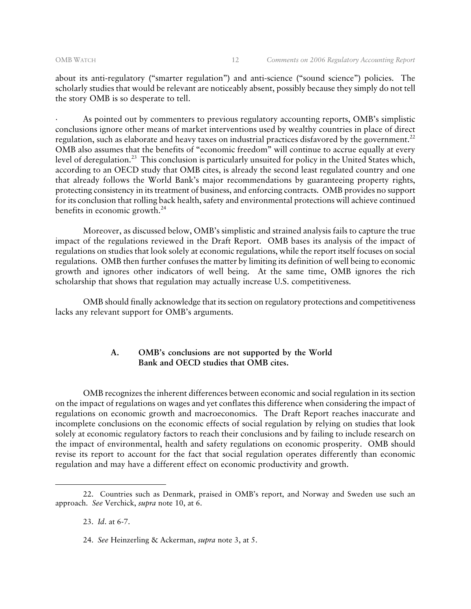about its anti-regulatory ("smarter regulation") and anti-science ("sound science") policies. The scholarly studies that would be relevant are noticeably absent, possibly because they simply do not tell the story OMB is so desperate to tell.

· As pointed out by commenters to previous regulatory accounting reports, OMB's simplistic conclusions ignore other means of market interventions used by wealthy countries in place of direct regulation, such as elaborate and heavy taxes on industrial practices disfavored by the government.<sup>22</sup> OMB also assumes that the benefits of "economic freedom" will continue to accrue equally at every level of deregulation.<sup>23</sup> This conclusion is particularly unsuited for policy in the United States which, according to an OECD study that OMB cites, is already the second least regulated country and one that already follows the World Bank's major recommendations by guaranteeing property rights, protecting consistency in its treatment of business, and enforcing contracts. OMB provides no support for its conclusion that rolling back health, safety and environmental protections will achieve continued benefits in economic growth. $24$ 

 Moreover, as discussed below, OMB's simplistic and strained analysis fails to capture the true impact of the regulations reviewed in the Draft Report. OMB bases its analysis of the impact of regulations on studies that look solely at economic regulations, while the report itself focuses on social regulations. OMB then further confuses the matter by limiting its definition of well being to economic growth and ignores other indicators of well being. At the same time, OMB ignores the rich scholarship that shows that regulation may actually increase U.S. competitiveness.

OMB should finally acknowledge that its section on regulatory protections and competitiveness lacks any relevant support for OMB's arguments.

#### **A. OMB's conclusions are not supported by the World Bank and OECD studies that OMB cites.**

OMB recognizes the inherent differences between economic and social regulation in its section on the impact of regulations on wages and yet conflates this difference when considering the impact of regulations on economic growth and macroeconomics. The Draft Report reaches inaccurate and incomplete conclusions on the economic effects of social regulation by relying on studies that look solely at economic regulatory factors to reach their conclusions and by failing to include research on the impact of environmental, health and safety regulations on economic prosperity. OMB should revise its report to account for the fact that social regulation operates differently than economic regulation and may have a different effect on economic productivity and growth.

23. *Id*. at 6-7.

<sup>22.</sup> Countries such as Denmark, praised in OMB's report, and Norway and Sweden use such an approach. *See* Verchick, *supra* note 10, at 6.

<sup>24.</sup> *See* Heinzerling & Ackerman, *supra* note 3, at 5.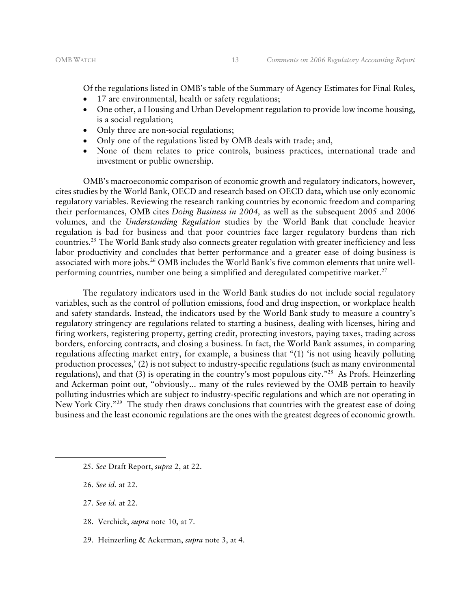Of the regulations listed in OMB's table of the Summary of Agency Estimates for Final Rules,

- 17 are environmental, health or safety regulations;
- One other, a Housing and Urban Development regulation to provide low income housing, is a social regulation;
- Only three are non-social regulations;
- Only one of the regulations listed by OMB deals with trade; and,
- None of them relates to price controls, business practices, international trade and investment or public ownership.

OMB's macroeconomic comparison of economic growth and regulatory indicators, however, cites studies by the World Bank, OECD and research based on OECD data, which use only economic regulatory variables. Reviewing the research ranking countries by economic freedom and comparing their performances, OMB cites *Doing Business in 2004,* as well as the subsequent 2005 and 2006 volumes, and the *Understanding Regulation* studies by the World Bank that conclude heavier regulation is bad for business and that poor countries face larger regulatory burdens than rich countries.25 The World Bank study also connects greater regulation with greater inefficiency and less labor productivity and concludes that better performance and a greater ease of doing business is associated with more jobs.<sup>26</sup> OMB includes the World Bank's five common elements that unite wellperforming countries, number one being a simplified and deregulated competitive market. $2^7$ 

The regulatory indicators used in the World Bank studies do not include social regulatory variables, such as the control of pollution emissions, food and drug inspection, or workplace health and safety standards. Instead, the indicators used by the World Bank study to measure a country's regulatory stringency are regulations related to starting a business, dealing with licenses, hiring and firing workers, registering property, getting credit, protecting investors, paying taxes, trading across borders, enforcing contracts, and closing a business. In fact, the World Bank assumes, in comparing regulations affecting market entry, for example, a business that "(1) 'is not using heavily polluting production processes,' (2) is not subject to industry-specific regulations (such as many environmental regulations), and that (3) is operating in the country's most populous city."28 As Profs. Heinzerling and Ackerman point out, "obviously... many of the rules reviewed by the OMB pertain to heavily polluting industries which are subject to industry-specific regulations and which are not operating in New York City."<sup>29</sup> The study then draws conclusions that countries with the greatest ease of doing business and the least economic regulations are the ones with the greatest degrees of economic growth.

- 25*. See* Draft Report, *supra* 2, at 22.
- 26. *See id.* at 22.

- 27. *See id.* at 22.
- 28. Verchick, *supra* note 10, at 7.
- 29. Heinzerling & Ackerman, *supra* note 3, at 4.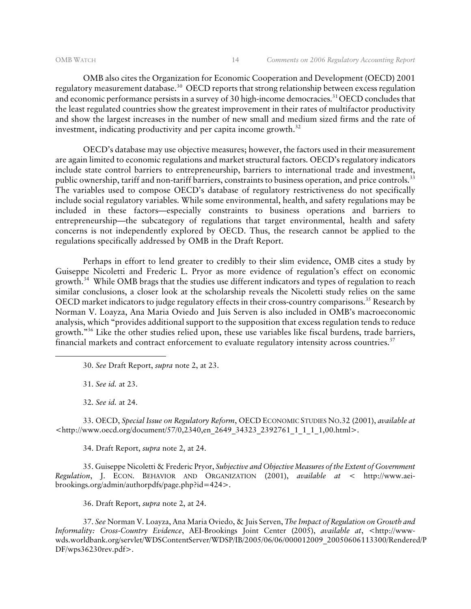OMB also cites the Organization for Economic Cooperation and Development (OECD) 2001 regulatory measurement database.<sup>30</sup> OECD reports that strong relationship between excess regulation and economic performance persists in a survey of 30 high-income democracies.<sup>31</sup> OECD concludes that the least regulated countries show the greatest improvement in their rates of multifactor productivity and show the largest increases in the number of new small and medium sized firms and the rate of investment, indicating productivity and per capita income growth. $32$ 

OECD's database may use objective measures; however, the factors used in their measurement are again limited to economic regulations and market structural factors. OECD's regulatory indicators include state control barriers to entrepreneurship, barriers to international trade and investment, public ownership, tariff and non-tariff barriers, constraints to business operation, and price controls.<sup>33</sup> The variables used to compose OECD's database of regulatory restrictiveness do not specifically include social regulatory variables. While some environmental, health, and safety regulations may be included in these factors—especially constraints to business operations and barriers to entrepreneurship—the subcategory of regulations that target environmental, health and safety concerns is not independently explored by OECD. Thus, the research cannot be applied to the regulations specifically addressed by OMB in the Draft Report.

Perhaps in effort to lend greater to credibly to their slim evidence, OMB cites a study by Guiseppe Nicoletti and Frederic L. Pryor as more evidence of regulation's effect on economic growth.<sup>34</sup> While OMB brags that the studies use different indicators and types of regulation to reach similar conclusions, a closer look at the scholarship reveals the Nicoletti study relies on the same OECD market indicators to judge regulatory effects in their cross-country comparisons.<sup>35</sup> Research by Norman V. Loayza, Ana Maria Oviedo and Juis Serven is also included in OMB's macroeconomic analysis, which "provides additional support to the supposition that excess regulation tends to reduce growth."36 Like the other studies relied upon, these use variables like fiscal burdens, trade barriers, financial markets and contract enforcement to evaluate regulatory intensity across countries.<sup>37</sup>

30. *See* Draft Report, *supra* note 2, at 23.

31. *See id.* at 23.

-

32. *See id.* at 24.

33. OECD, *Special Issue on Regulatory Reform*, OECD ECONOMIC STUDIES NO.32 (2001), *available at*  <http://www.oecd.org/document/57/0,2340,en\_2649\_34323\_2392761\_1\_1\_1\_1,00.html>.

34. Draft Report, *supra* note 2, at 24.

35. Guiseppe Nicoletti & Frederic Pryor, *Subjective and Objective Measures of the Extent of Government Regulation*, J. ECON. BEHAVIOR AND ORGANIZATION (2001), *available at* < http://www.aeibrookings.org/admin/authorpdfs/page.php?id=424>.

36. Draft Report, *supra* note 2, at 24.

37. *See* Norman V. Loayza, Ana Maria Oviedo, & Juis Serven, *The Impact of Regulation on Growth and Informality: Cross-Country Evidence*, AEI-Brookings Joint Center (2005), *available at*, <http://wwwwds.worldbank.org/servlet/WDSContentServer/WDSP/IB/2005/06/06/000012009\_20050606113300/Rendered/P DF/wps36230rev.pdf>.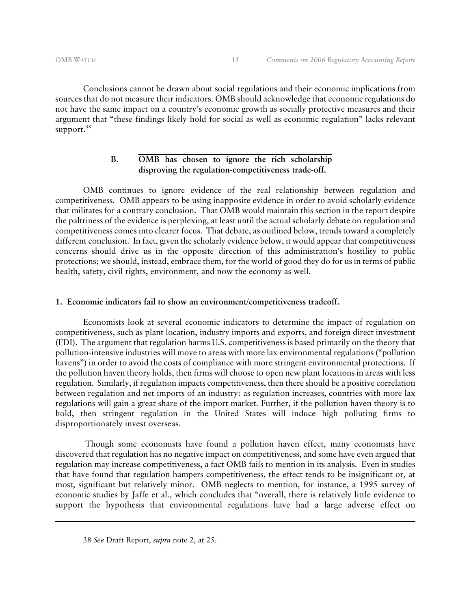Conclusions cannot be drawn about social regulations and their economic implications from sources that do not measure their indicators. OMB should acknowledge that economic regulations do not have the same impact on a country's economic growth as socially protective measures and their argument that "these findings likely hold for social as well as economic regulation" lacks relevant support. $38$ 

### **B. OMB has chosen to ignore the rich scholarship disproving the regulation-competitiveness trade-off.**

 OMB continues to ignore evidence of the real relationship between regulation and competitiveness. OMB appears to be using inapposite evidence in order to avoid scholarly evidence that militates for a contrary conclusion. That OMB would maintain this section in the report despite the paltriness of the evidence is perplexing, at least until the actual scholarly debate on regulation and competitiveness comes into clearer focus. That debate, as outlined below, trends toward a completely different conclusion. In fact, given the scholarly evidence below, it would appear that competitiveness concerns should drive us in the opposite direction of this administration's hostility to public protections; we should, instead, embrace them, for the world of good they do for us in terms of public health, safety, civil rights, environment, and now the economy as well.

#### **1. Economic indicators fail to show an environment/competitiveness tradeoff.**

Economists look at several economic indicators to determine the impact of regulation on competitiveness, such as plant location, industry imports and exports, and foreign direct investment (FDI). The argument that regulation harms U.S. competitiveness is based primarily on the theory that pollution-intensive industries will move to areas with more lax environmental regulations ("pollution havens") in order to avoid the costs of compliance with more stringent environmental protections. If the pollution haven theory holds, then firms will choose to open new plant locations in areas with less regulation. Similarly, if regulation impacts competitiveness, then there should be a positive correlation between regulation and net imports of an industry: as regulation increases, countries with more lax regulations will gain a great share of the import market. Further, if the pollution haven theory is to hold, then stringent regulation in the United States will induce high polluting firms to disproportionately invest overseas.

 Though some economists have found a pollution haven effect, many economists have discovered that regulation has no negative impact on competitiveness, and some have even argued that regulation may increase competitiveness, a fact OMB fails to mention in its analysis. Even in studies that have found that regulation hampers competitiveness, the effect tends to be insignificant or, at most, significant but relatively minor. OMB neglects to mention, for instance, a 1995 survey of economic studies by Jaffe et al., which concludes that "overall, there is relatively little evidence to support the hypothesis that environmental regulations have had a large adverse effect on

<sup>38</sup> *See* Draft Report, *supra* note 2, at 25.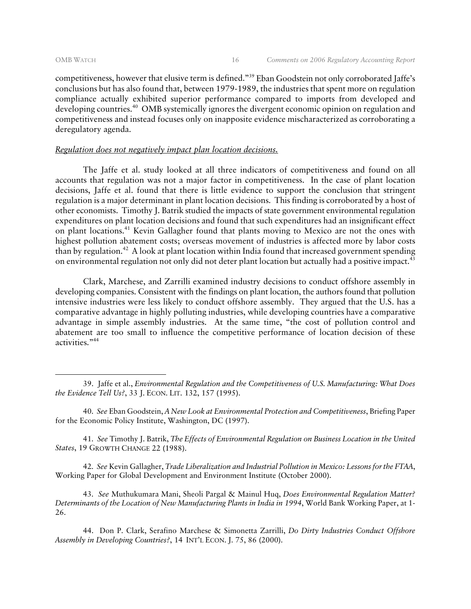competitiveness, however that elusive term is defined."39 Eban Goodstein not only corroborated Jaffe's conclusions but has also found that, between 1979-1989, the industries that spent more on regulation compliance actually exhibited superior performance compared to imports from developed and developing countries.<sup>40</sup> OMB systemically ignores the divergent economic opinion on regulation and competitiveness and instead focuses only on inapposite evidence mischaracterized as corroborating a deregulatory agenda.

#### *Regulation does not negatively impact plan location decisions.*

The Jaffe et al. study looked at all three indicators of competitiveness and found on all accounts that regulation was not a major factor in competitiveness. In the case of plant location decisions, Jaffe et al. found that there is little evidence to support the conclusion that stringent regulation is a major determinant in plant location decisions. This finding is corroborated by a host of other economists. Timothy J. Batrik studied the impacts of state government environmental regulation expenditures on plant location decisions and found that such expenditures had an insignificant effect on plant locations.41 Kevin Gallagher found that plants moving to Mexico are not the ones with highest pollution abatement costs; overseas movement of industries is affected more by labor costs than by regulation.42 A look at plant location within India found that increased government spending on environmental regulation not only did not deter plant location but actually had a positive impact.<sup>43</sup>

Clark, Marchese, and Zarrilli examined industry decisions to conduct offshore assembly in developing companies. Consistent with the findings on plant location, the authors found that pollution intensive industries were less likely to conduct offshore assembly. They argued that the U.S. has a comparative advantage in highly polluting industries, while developing countries have a comparative advantage in simple assembly industries. At the same time, "the cost of pollution control and abatement are too small to influence the competitive performance of location decision of these activities."44

40. *See* Eban Goodstein, *A New Look at Environmental Protection and Competitiveness*, Briefing Paper for the Economic Policy Institute, Washington, DC (1997).

41. *See* Timothy J. Batrik, *The Effects of Environmental Regulation on Business Location in the United States*, 19 GROWTH CHANGE 22 (1988).

42. *See* Kevin Gallagher, *Trade Liberalization and Industrial Pollution in Mexico: Lessons for the FTAA*, Working Paper for Global Development and Environment Institute (October 2000).

43. *See* Muthukumara Mani, Sheoli Pargal & Mainul Huq, *Does Environmental Regulation Matter? Determinants of the Location of New Manufacturing Plants in India in 1994*, World Bank Working Paper, at 1- 26.

44. Don P. Clark, Serafino Marchese & Simonetta Zarrilli, *Do Dirty Industries Conduct Offshore Assembly in Developing Countries?*, 14 INT'L ECON. J. 75, 86 (2000).

<sup>39.</sup> Jaffe et al., *Environmental Regulation and the Competitiveness of U.S. Manufacturing: What Does the Evidence Tell Us?*, 33 J. ECON. LIT. 132, 157 (1995).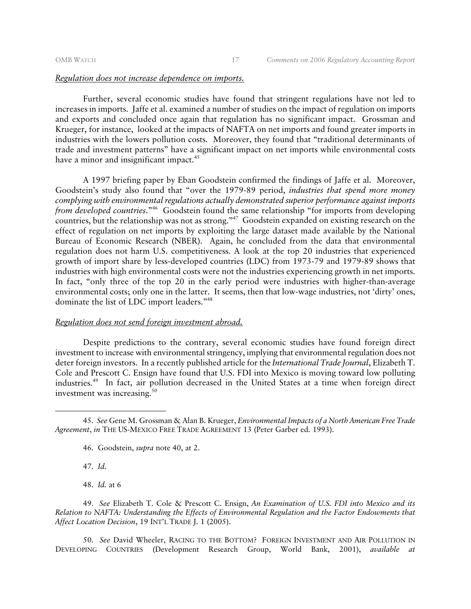#### *Regulation does not increase dependence on imports.*

Further, several economic studies have found that stringent regulations have not led to increases in imports. Jaffe et al. examined a number of studies on the impact of regulation on imports and exports and concluded once again that regulation has no significant impact. Grossman and Krueger, for instance, looked at the impacts of NAFTA on net imports and found greater imports in industries with the lowers pollution costs. Moreover, they found that "traditional determinants of trade and investment patterns" have a significant impact on net imports while environmental costs have a minor and insignificant impact.<sup>45</sup>

A 1997 briefing paper by Eban Goodstein confirmed the findings of Jaffe et al. Moreover, Goodstein's study also found that "over the 1979-89 period, *industries that spend more money complying with environmental regulations actually demonstrated superior performance against imports from developed countries*."46 Goodstein found the same relationship "for imports from developing countries, but the relationship was not as strong."47 Goodstein expanded on existing research on the effect of regulation on net imports by exploiting the large dataset made available by the National Bureau of Economic Research (NBER). Again, he concluded from the data that environmental regulation does not harm U.S. competitiveness. A look at the top 20 industries that experienced growth of import share by less-developed countries (LDC) from 1973-79 and 1979-89 shows that industries with high environmental costs were not the industries experiencing growth in net imports. In fact, "only three of the top 20 in the early period were industries with higher-than-average environmental costs; only one in the latter. It seems, then that low-wage industries, not 'dirty' ones, dominate the list of LDC import leaders."48

#### *Regulation does not send foreign investment abroad.*

Despite predictions to the contrary, several economic studies have found foreign direct investment to increase with environmental stringency, implying that environmental regulation does not deter foreign investors. In a recently published article for the *International Trade Journal*, Elizabeth T. Cole and Prescott C. Ensign have found that U.S. FDI into Mexico is moving toward low polluting industries.49 In fact, air pollution decreased in the United States at a time when foreign direct investment was increasing.<sup>50</sup>

47. *Id.*

-

48. *Id.* at 6

49. *See* Elizabeth T. Cole & Prescott C. Ensign, *An Examination of U.S. FDI into Mexico and its Relation to NAFTA: Understanding the Effects of Environmental Regulation and the Factor Endowments that Affect Location Decision*, 19 INT'L TRADE J. 1 (2005).

50. *See* David Wheeler, RACING TO THE BOTTOM? FOREIGN INVESTMENT AND AIR POLLUTION IN DEVELOPING COUNTRIES (Development Research Group, World Bank, 2001), *available at*

<sup>45.</sup> *See* Gene M. Grossman & Alan B. Krueger, *Environmental Impacts of a North American Free Trade Agreement*, *in* THE US-MEXICO FREE TRADE AGREEMENT 13 (Peter Garber ed. 1993).

<sup>46.</sup> Goodstein, *supra* note 40, at 2.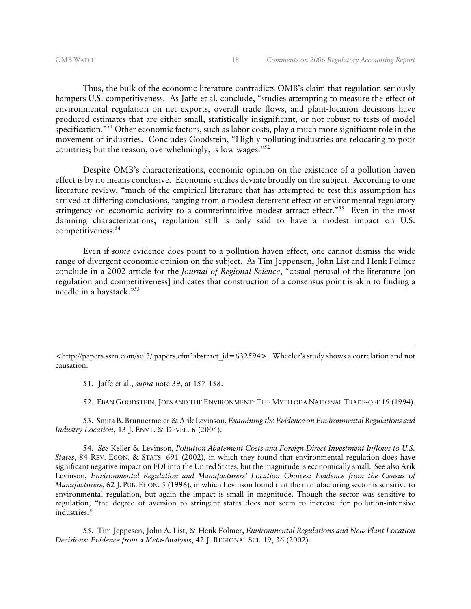Thus, the bulk of the economic literature contradicts OMB's claim that regulation seriously hampers U.S. competitiveness. As Jaffe et al. conclude, "studies attempting to measure the effect of environmental regulation on net exports, overall trade flows, and plant-location decisions have produced estimates that are either small, statistically insignificant, or not robust to tests of model specification."<sup>51</sup> Other economic factors, such as labor costs, play a much more significant role in the movement of industries. Concludes Goodstein, "Highly polluting industries are relocating to poor countries; but the reason, overwhelmingly, is low wages."52

Despite OMB's characterizations, economic opinion on the existence of a pollution haven effect is by no means conclusive. Economic studies deviate broadly on the subject. According to one literature review, "much of the empirical literature that has attempted to test this assumption has arrived at differing conclusions, ranging from a modest deterrent effect of environmental regulatory stringency on economic activity to a counterintuitive modest attract effect."<sup>53</sup> Even in the most damning characterizations, regulation still is only said to have a modest impact on U.S. competitiveness.<sup>54</sup>

Even if *some* evidence does point to a pollution haven effect, one cannot dismiss the wide range of divergent economic opinion on the subject. As Tim Jeppensen, John List and Henk Folmer conclude in a 2002 article for the *Journal of Regional Science*, "casual perusal of the literature [on regulation and competitiveness] indicates that construction of a consensus point is akin to finding a needle in a haystack."55

51. Jaffe et al., *supra* note 39, at 157-158.

52. EBAN GOODSTEIN, JOBS AND THE ENVIRONMENT: THE MYTH OF A NATIONAL TRADE-OFF 19 (1994).

53. Smita B. Brunnermeier & Arik Levinson, *Examining the Evidence on Environmental Regulations and Industry Location*, 13 J. ENVT. & DEVEL. 6 (2004).

54. *See* Keller & Levinson, *Pollution Abatement Costs and Foreign Direct Investment Inflows to U.S. States*, 84 REV. ECON. & STATS. 691 (2002), in which they found that environmental regulation does have significant negative impact on FDI into the United States, but the magnitude is economically small. See also Arik Levinson, *Environmental Regulation and Manufacturers' Location Choices: Evidence from the Census of Manufacturers*, 62 J. PUB. ECON. 5 (1996), in which Levinson found that the manufacturing sector is sensitive to environmental regulation, but again the impact is small in magnitude. Though the sector was sensitive to regulation, "the degree of aversion to stringent states does not seem to increase for pollution-intensive industries."

55. Tim Jeppesen, John A. List, & Henk Folmer, *Environmental Regulations and New Plant Location Decisions: Evidence from a Meta-Analysis*, 42 J. REGIONAL SCI. 19, 36 (2002).

<sup>&</sup>lt;http://papers.ssrn.com/sol3/ papers.cfm?abstract\_id=632594>. Wheeler's study shows a correlation and not causation.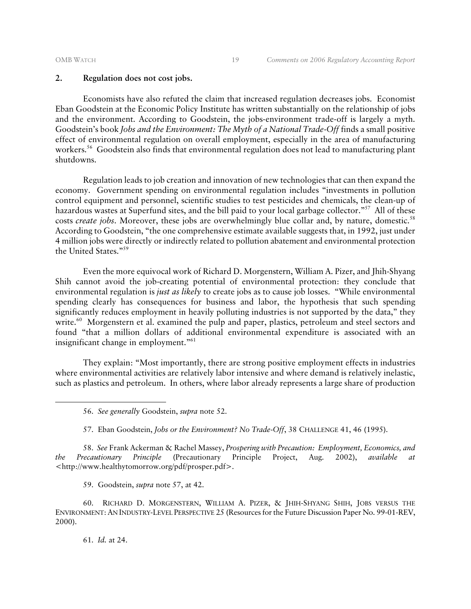#### **2. Regulation does not cost jobs.**

Economists have also refuted the claim that increased regulation decreases jobs. Economist Eban Goodstein at the Economic Policy Institute has written substantially on the relationship of jobs and the environment. According to Goodstein, the jobs-environment trade-off is largely a myth. Goodstein's book *Jobs and the Environment: The Myth of a National Trade-Off* finds a small positive effect of environmental regulation on overall employment, especially in the area of manufacturing workers.<sup>56</sup> Goodstein also finds that environmental regulation does not lead to manufacturing plant shutdowns.

Regulation leads to job creation and innovation of new technologies that can then expand the economy. Government spending on environmental regulation includes "investments in pollution control equipment and personnel, scientific studies to test pesticides and chemicals, the clean-up of hazardous wastes at Superfund sites, and the bill paid to your local garbage collector."<sup>57</sup> All of these costs *create jobs*. Moreover, these jobs are overwhelmingly blue collar and, by nature, domestic.<sup>58</sup> According to Goodstein, "the one comprehensive estimate available suggests that, in 1992, just under 4 million jobs were directly or indirectly related to pollution abatement and environmental protection the United States."59

Even the more equivocal work of Richard D. Morgenstern, William A. Pizer, and Jhih-Shyang Shih cannot avoid the job-creating potential of environmental protection: they conclude that environmental regulation is *just as likely* to create jobs as to cause job losses. "While environmental spending clearly has consequences for business and labor, the hypothesis that such spending significantly reduces employment in heavily polluting industries is not supported by the data," they write.<sup>60</sup> Morgenstern et al. examined the pulp and paper, plastics, petroleum and steel sectors and found "that a million dollars of additional environmental expenditure is associated with an insignificant change in employment."61

They explain: "Most importantly, there are strong positive employment effects in industries where environmental activities are relatively labor intensive and where demand is relatively inelastic, such as plastics and petroleum. In others, where labor already represents a large share of production

58. *See* Frank Ackerman & Rachel Massey, *Prospering with Precaution: Employment, Economics, and the Precautionary Principle* (Precautionary Principle Project, Aug. 2002), *available at* <http://www.healthytomorrow.org/pdf/prosper.pdf>.

59. Goodstein, *supra* note 57, at 42.

60. RICHARD D. MORGENSTERN, WILLIAM A. PIZER, & JHIH-SHYANG SHIH, JOBS VERSUS THE ENVIRONMENT:AN INDUSTRY-LEVEL PERSPECTIVE 25 (Resources for the Future Discussion Paper No. 99-01-REV, 2000).

61. *Id.* at 24.

<sup>56.</sup> *See generally* Goodstein, *supra* note 52.

<sup>57.</sup> Eban Goodstein, *Jobs or the Environment? No Trade-Off*, 38 CHALLENGE 41, 46 (1995).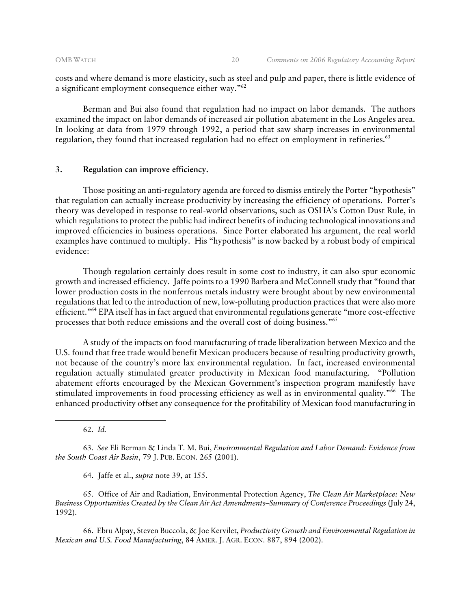costs and where demand is more elasticity, such as steel and pulp and paper, there is little evidence of a significant employment consequence either way."62

Berman and Bui also found that regulation had no impact on labor demands. The authors examined the impact on labor demands of increased air pollution abatement in the Los Angeles area. In looking at data from 1979 through 1992, a period that saw sharp increases in environmental regulation, they found that increased regulation had no effect on employment in refineries.<sup>63</sup>

#### **3. Regulation can improve efficiency.**

Those positing an anti-regulatory agenda are forced to dismiss entirely the Porter "hypothesis" that regulation can actually increase productivity by increasing the efficiency of operations. Porter's theory was developed in response to real-world observations, such as OSHA's Cotton Dust Rule, in which regulations to protect the public had indirect benefits of inducing technological innovations and improved efficiencies in business operations. Since Porter elaborated his argument, the real world examples have continued to multiply. His "hypothesis" is now backed by a robust body of empirical evidence:

 Though regulation certainly does result in some cost to industry, it can also spur economic growth and increased efficiency. Jaffe points to a 1990 Barbera and McConnell study that "found that lower production costs in the nonferrous metals industry were brought about by new environmental regulations that led to the introduction of new, low-polluting production practices that were also more efficient."64 EPA itself has in fact argued that environmental regulations generate "more cost-effective processes that both reduce emissions and the overall cost of doing business."65

 A study of the impacts on food manufacturing of trade liberalization between Mexico and the U.S. found that free trade would benefit Mexican producers because of resulting productivity growth, not because of the country's more lax environmental regulation. In fact, increased environmental regulation actually stimulated greater productivity in Mexican food manufacturing. "Pollution abatement efforts encouraged by the Mexican Government's inspection program manifestly have stimulated improvements in food processing efficiency as well as in environmental quality."<sup>66</sup> The enhanced productivity offset any consequence for the profitability of Mexican food manufacturing in

62. *Id.*

-

63. *See* Eli Berman & Linda T. M. Bui, *Environmental Regulation and Labor Demand: Evidence from the South Coast Air Basin*, 79 J. PUB. ECON. 265 (2001).

64. Jaffe et al., *supra* note 39, at 155.

65. Office of Air and Radiation, Environmental Protection Agency, *The Clean Air Marketplace: New Business Opportunities Created by the Clean Air Act Amendments–Summary of Conference Proceedings* (July 24, 1992).

66. Ebru Alpay, Steven Buccola, & Joe Kervilet, *Productivity Growth and Environmental Regulation in Mexican and U.S. Food Manufacturing*, 84 AMER. J. AGR. ECON. 887, 894 (2002).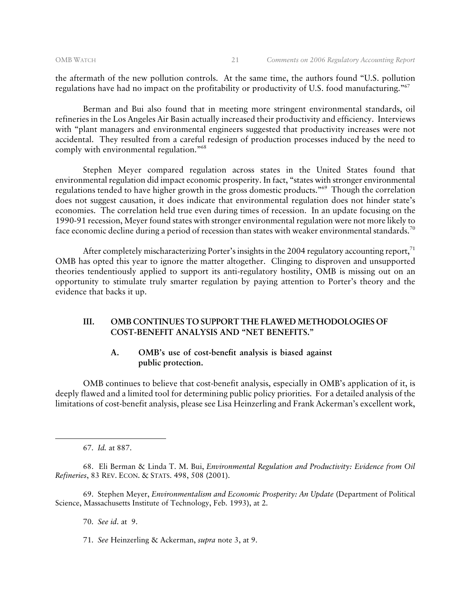the aftermath of the new pollution controls. At the same time, the authors found "U.S. pollution regulations have had no impact on the profitability or productivity of U.S. food manufacturing."67

 Berman and Bui also found that in meeting more stringent environmental standards, oil refineries in the Los Angeles Air Basin actually increased their productivity and efficiency. Interviews with "plant managers and environmental engineers suggested that productivity increases were not accidental. They resulted from a careful redesign of production processes induced by the need to comply with environmental regulation."<sup>68</sup>

 Stephen Meyer compared regulation across states in the United States found that environmental regulation did impact economic prosperity. In fact, "states with stronger environmental regulations tended to have higher growth in the gross domestic products."69 Though the correlation does not suggest causation, it does indicate that environmental regulation does not hinder state's economies. The correlation held true even during times of recession. In an update focusing on the 1990-91 recession, Meyer found states with stronger environmental regulation were not more likely to face economic decline during a period of recession than states with weaker environmental standards.<sup>70</sup>

After completely mischaracterizing Porter's insights in the 2004 regulatory accounting report, $71$ OMB has opted this year to ignore the matter altogether. Clinging to disproven and unsupported theories tendentiously applied to support its anti-regulatory hostility, OMB is missing out on an opportunity to stimulate truly smarter regulation by paying attention to Porter's theory and the evidence that backs it up.

#### **III. OMB CONTINUES TO SUPPORT THE FLAWED METHODOLOGIES OF COST-BENEFIT ANALYSIS AND "NET BENEFITS."**

#### **A. OMB's use of cost-benefit analysis is biased against public protection.**

OMB continues to believe that cost-benefit analysis, especially in OMB's application of it, is deeply flawed and a limited tool for determining public policy priorities. For a detailed analysis of the limitations of cost-benefit analysis, please see Lisa Heinzerling and Frank Ackerman's excellent work,

67. *Id.* at 887.

68. Eli Berman & Linda T. M. Bui, *Environmental Regulation and Productivity: Evidence from Oil Refineries*, 83 REV. ECON. & STATS. 498, 508 (2001).

69. Stephen Meyer, *Environmentalism and Economic Prosperity: An Update* (Department of Political Science, Massachusetts Institute of Technology, Feb. 1993), at 2.

70. *See id*. at 9.

<sup>71.</sup> *See* Heinzerling & Ackerman, *supra* note 3, at 9.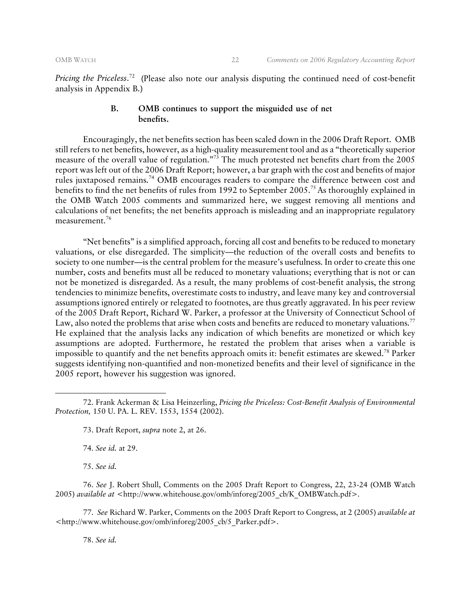*Pricing the Priceless*. 72 (Please also note our analysis disputing the continued need of cost-benefit analysis in Appendix B.)

#### **B. OMB continues to support the misguided use of net benefits.**

Encouragingly, the net benefits section has been scaled down in the 2006 Draft Report. OMB still refers to net benefits, however, as a high-quality measurement tool and as a "theoretically superior measure of the overall value of regulation."73 The much protested net benefits chart from the 2005 report was left out of the 2006 Draft Report; however, a bar graph with the cost and benefits of major rules juxtaposed remains.<sup>74</sup> OMB encourages readers to compare the difference between cost and benefits to find the net benefits of rules from 1992 to September 2005.<sup>75</sup> As thoroughly explained in the OMB Watch 2005 comments and summarized here, we suggest removing all mentions and calculations of net benefits; the net benefits approach is misleading and an inappropriate regulatory measurement.76

"Net benefits" is a simplified approach, forcing all cost and benefits to be reduced to monetary valuations, or else disregarded. The simplicity—the reduction of the overall costs and benefits to society to one number—is the central problem for the measure's usefulness. In order to create this one number, costs and benefits must all be reduced to monetary valuations; everything that is not or can not be monetized is disregarded. As a result, the many problems of cost-benefit analysis, the strong tendencies to minimize benefits, overestimate costs to industry, and leave many key and controversial assumptions ignored entirely or relegated to footnotes, are thus greatly aggravated. In his peer review of the 2005 Draft Report, Richard W. Parker, a professor at the University of Connecticut School of Law, also noted the problems that arise when costs and benefits are reduced to monetary valuations.<sup>77</sup> He explained that the analysis lacks any indication of which benefits are monetized or which key assumptions are adopted. Furthermore, he restated the problem that arises when a variable is impossible to quantify and the net benefits approach omits it: benefit estimates are skewed.78 Parker suggests identifying non-quantified and non-monetized benefits and their level of significance in the 2005 report, however his suggestion was ignored.

73. Draft Report, *supra* note 2, at 26.

74. *See id.* at 29.

75. *See id.* 

-

76. *See* J. Robert Shull, Comments on the 2005 Draft Report to Congress, 22, 23-24 (OMB Watch 2005) *available at* <http://www.whitehouse.gov/omb/inforeg/2005\_cb/K\_OMBWatch.pdf>.

77. *See* Richard W. Parker, Comments on the 2005 Draft Report to Congress, at 2 (2005) *available at*  <http://www.whitehouse.gov/omb/inforeg/2005\_cb/5\_Parker.pdf>.

78. *See id.* 

<sup>72.</sup> Frank Ackerman & Lisa Heinzerling, *Pricing the Priceless: Cost-Benefit Analysis of Environmental Protection,* 150 U. PA. L. REV. 1553, 1554 (2002).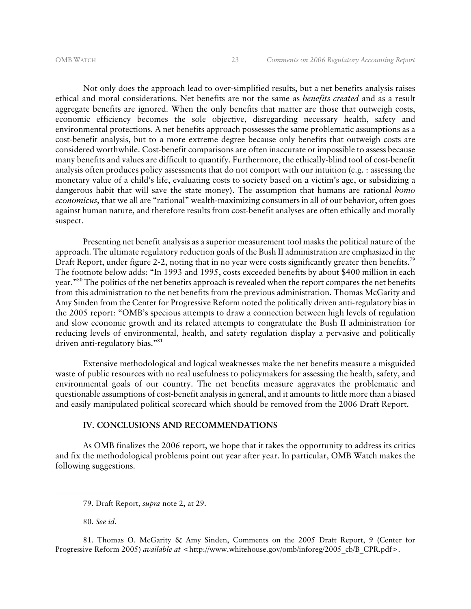Not only does the approach lead to over-simplified results, but a net benefits analysis raises ethical and moral considerations. Net benefits are not the same as *benefits created* and as a result aggregate benefits are ignored. When the only benefits that matter are those that outweigh costs, economic efficiency becomes the sole objective, disregarding necessary health, safety and environmental protections. A net benefits approach possesses the same problematic assumptions as a cost-benefit analysis, but to a more extreme degree because only benefits that outweigh costs are considered worthwhile. Cost-benefit comparisons are often inaccurate or impossible to assess because many benefits and values are difficult to quantify. Furthermore, the ethically-blind tool of cost-benefit analysis often produces policy assessments that do not comport with our intuition (e.g. : assessing the monetary value of a child's life, evaluating costs to society based on a victim's age, or subsidizing a dangerous habit that will save the state money). The assumption that humans are rational *homo economicus*, that we all are "rational" wealth-maximizing consumers in all of our behavior, often goes against human nature, and therefore results from cost-benefit analyses are often ethically and morally suspect.

Presenting net benefit analysis as a superior measurement tool masks the political nature of the approach. The ultimate regulatory reduction goals of the Bush II administration are emphasized in the Draft Report, under figure 2-2, noting that in no year were costs significantly greater then benefits.<sup>79</sup> The footnote below adds: "In 1993 and 1995, costs exceeded benefits by about \$400 million in each year."80 The politics of the net benefits approach is revealed when the report compares the net benefits from this administration to the net benefits from the previous administration. Thomas McGarity and Amy Sinden from the Center for Progressive Reform noted the politically driven anti-regulatory bias in the 2005 report: "OMB's specious attempts to draw a connection between high levels of regulation and slow economic growth and its related attempts to congratulate the Bush II administration for reducing levels of environmental, health, and safety regulation display a pervasive and politically driven anti-regulatory bias."<sup>81</sup>

Extensive methodological and logical weaknesses make the net benefits measure a misguided waste of public resources with no real usefulness to policymakers for assessing the health, safety, and environmental goals of our country. The net benefits measure aggravates the problematic and questionable assumptions of cost-benefit analysis in general, and it amounts to little more than a biased and easily manipulated political scorecard which should be removed from the 2006 Draft Report.

#### **IV. CONCLUSIONS AND RECOMMENDATIONS**

 As OMB finalizes the 2006 report, we hope that it takes the opportunity to address its critics and fix the methodological problems point out year after year. In particular, OMB Watch makes the following suggestions.

80. *See id.* 

<sup>79.</sup> Draft Report, *supra* note 2, at 29.

<sup>81.</sup> Thomas O. McGarity & Amy Sinden, Comments on the 2005 Draft Report, 9 (Center for Progressive Reform 2005) *available at* <http://www.whitehouse.gov/omb/inforeg/2005\_cb/B\_CPR.pdf>.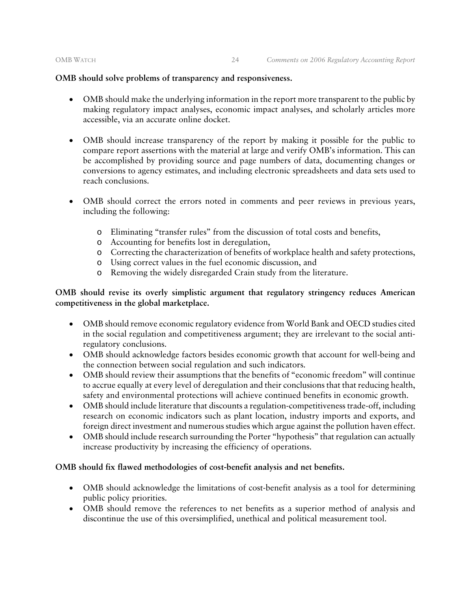#### **OMB should solve problems of transparency and responsiveness.**

- OMB should make the underlying information in the report more transparent to the public by making regulatory impact analyses, economic impact analyses, and scholarly articles more accessible, via an accurate online docket.
- OMB should increase transparency of the report by making it possible for the public to compare report assertions with the material at large and verify OMB's information. This can be accomplished by providing source and page numbers of data, documenting changes or conversions to agency estimates, and including electronic spreadsheets and data sets used to reach conclusions.
- OMB should correct the errors noted in comments and peer reviews in previous years, including the following:
	- o Eliminating "transfer rules" from the discussion of total costs and benefits,
	- o Accounting for benefits lost in deregulation,
	- o Correcting the characterization of benefits of workplace health and safety protections,
	- o Using correct values in the fuel economic discussion, and
	- o Removing the widely disregarded Crain study from the literature.

### **OMB should revise its overly simplistic argument that regulatory stringency reduces American competitiveness in the global marketplace.**

- OMB should remove economic regulatory evidence from World Bank and OECD studies cited in the social regulation and competitiveness argument; they are irrelevant to the social antiregulatory conclusions.
- OMB should acknowledge factors besides economic growth that account for well-being and the connection between social regulation and such indicators.
- OMB should review their assumptions that the benefits of "economic freedom" will continue to accrue equally at every level of deregulation and their conclusions that that reducing health, safety and environmental protections will achieve continued benefits in economic growth.
- OMB should include literature that discounts a regulation-competitiveness trade-off, including research on economic indicators such as plant location, industry imports and exports, and foreign direct investment and numerous studies which argue against the pollution haven effect.
- OMB should include research surrounding the Porter "hypothesis" that regulation can actually increase productivity by increasing the efficiency of operations.

#### **OMB should fix flawed methodologies of cost-benefit analysis and net benefits.**

- OMB should acknowledge the limitations of cost-benefit analysis as a tool for determining public policy priorities.
- OMB should remove the references to net benefits as a superior method of analysis and discontinue the use of this oversimplified, unethical and political measurement tool.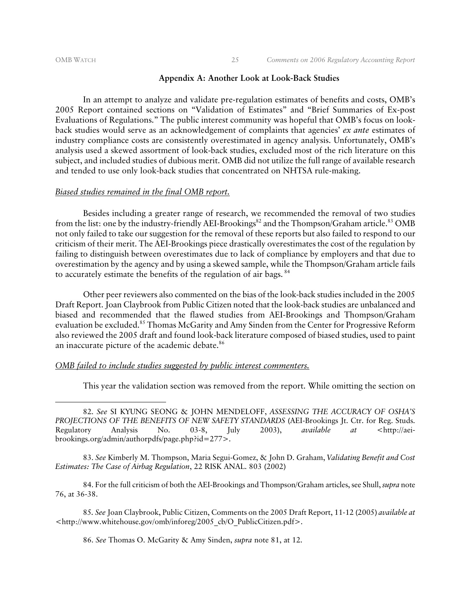#### OMB WATCH 25 *Comments on 2006 Regulatory Accounting Report*

#### **Appendix A: Another Look at Look-Back Studies**

In an attempt to analyze and validate pre-regulation estimates of benefits and costs, OMB's 2005 Report contained sections on "Validation of Estimates" and "Brief Summaries of Ex-post Evaluations of Regulations." The public interest community was hopeful that OMB's focus on lookback studies would serve as an acknowledgement of complaints that agencies' *ex ante* estimates of industry compliance costs are consistently overestimated in agency analysis. Unfortunately, OMB's analysis used a skewed assortment of look-back studies, excluded most of the rich literature on this subject, and included studies of dubious merit. OMB did not utilize the full range of available research and tended to use only look-back studies that concentrated on NHTSA rule-making.

#### *Biased studies remained in the final OMB report.*

Besides including a greater range of research, we recommended the removal of two studies from the list: one by the industry-friendly AEI-Brookings<sup>82</sup> and the Thompson/Graham article.<sup>83</sup> OMB not only failed to take our suggestion for the removal of these reports but also failed to respond to our criticism of their merit. The AEI-Brookings piece drastically overestimates the cost of the regulation by failing to distinguish between overestimates due to lack of compliance by employers and that due to overestimation by the agency and by using a skewed sample, while the Thompson/Graham article fails to accurately estimate the benefits of the regulation of air bags.<sup>84</sup>

Other peer reviewers also commented on the bias of the look-back studies included in the 2005 Draft Report. Joan Claybrook from Public Citizen noted that the look-back studies are unbalanced and biased and recommended that the flawed studies from AEI-Brookings and Thompson/Graham evaluation be excluded.<sup>85</sup> Thomas McGarity and Amy Sinden from the Center for Progressive Reform also reviewed the 2005 draft and found look-back literature composed of biased studies, used to paint an inaccurate picture of the academic debate.<sup>86</sup>

### *OMB failed to include studies suggested by public interest commenters.*

This year the validation section was removed from the report. While omitting the section on

83. *See* Kimberly M. Thompson, Maria Segui-Gomez, & John D. Graham, *Validating Benefit and Cost Estimates: The Case of Airbag Regulation*, 22 RISK ANAL. 803 (2002)

84. For the full criticism of both the AEI-Brookings and Thompson/Graham articles, see Shull, *supra* note 76, at 36-38.

85*. See* Joan Claybrook, Public Citizen, Comments on the 2005 Draft Report, 11-12 (2005) *available at* <http://www.whitehouse.gov/omb/inforeg/2005\_cb/O\_PublicCitizen.pdf>.

86. *See* Thomas O. McGarity & Amy Sinden, *supra* note 81, at 12.

<sup>82.</sup> *See* SI KYUNG SEONG & JOHN MENDELOFF, *ASSESSING THE ACCURACY OF OSHA'S PROJECTIONS OF THE BENEFITS OF NEW SAFETY STANDARDS* (AEI-Brookings Jt. Ctr. for Reg. Studs. Regulatory Analysis No. 03-8, July 2003), *available at* <http://aeibrookings.org/admin/authorpdfs/page.php?id=277>.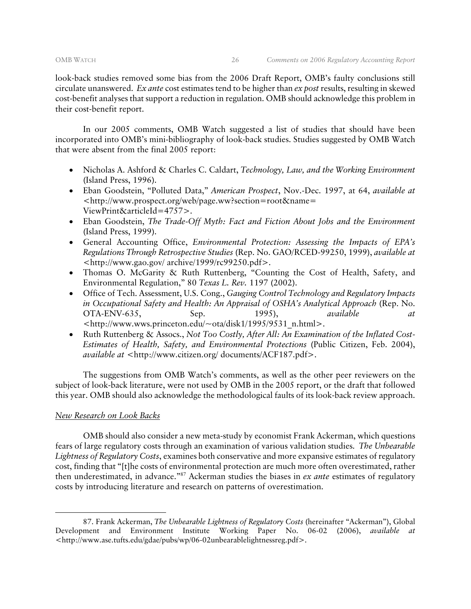look-back studies removed some bias from the 2006 Draft Report, OMB's faulty conclusions still circulate unanswered. *Ex ante* cost estimates tend to be higher than *ex post* results, resulting in skewed cost-benefit analyses that support a reduction in regulation. OMB should acknowledge this problem in their cost-benefit report.

In our 2005 comments, OMB Watch suggested a list of studies that should have been incorporated into OMB's mini-bibliography of look-back studies. Studies suggested by OMB Watch that were absent from the final 2005 report:

- Nicholas A. Ashford & Charles C. Caldart, *Technology, Law, and the Working Environment*  (Island Press, 1996).
- Eban Goodstein, "Polluted Data," *American Prospect*, Nov.-Dec. 1997, at 64, *available at*  <http://www.prospect.org/web/page.ww?section=root&name= ViewPrint&articleId=4757>.
- Eban Goodstein, *The Trade-Off Myth: Fact and Fiction About Jobs and the Environment*  (Island Press, 1999).
- General Accounting Office, *Environmental Protection: Assessing the Impacts of EPA's Regulations Through Retrospective Studies* (Rep. No. GAO/RCED-99250, 1999), *available at*  <http://www.gao.gov/ archive/1999/rc99250.pdf>.
- Thomas O. McGarity & Ruth Ruttenberg, "Counting the Cost of Health, Safety, and Environmental Regulation," 80 *Texas L. Rev.* 1197 (2002).
- Office of Tech. Assessment, U.S. Cong., *Gauging Control Technology and Regulatory Impacts in Occupational Safety and Health: An Appraisal of OSHA's Analytical Approach* (Rep. No. OTA-ENV-635, Sep. 1995), *available at*  <http://www.wws.princeton.edu/~ota/disk1/1995/9531\_n.html>.
- Ruth Ruttenberg & Assocs., *Not Too Costly, After All: An Examination of the Inflated Cost-Estimates of Health, Safety, and Environmental Protections* (Public Citizen, Feb. 2004), *available at* <http://www.citizen.org/ documents/ACF187.pdf>.

The suggestions from OMB Watch's comments, as well as the other peer reviewers on the subject of look-back literature, were not used by OMB in the 2005 report, or the draft that followed this year. OMB should also acknowledge the methodological faults of its look-back review approach.

#### *New Research on Look Backs*

-

OMB should also consider a new meta-study by economist Frank Ackerman, which questions fears of large regulatory costs through an examination of various validation studies. *The Unbearable Lightness of Regulatory Costs*, examines both conservative and more expansive estimates of regulatory cost, finding that "[t]he costs of environmental protection are much more often overestimated, rather then underestimated, in advance."87 Ackerman studies the biases in *ex ante* estimates of regulatory costs by introducing literature and research on patterns of overestimation.

<sup>87.</sup> Frank Ackerman, *The Unbearable Lightness of Regulatory Costs* (hereinafter "Ackerman"), Global Development and Environment Institute Working Paper No. 06-02 (2006), *available at* <http://www.ase.tufts.edu/gdae/pubs/wp/06-02unbearablelightnessreg.pdf>.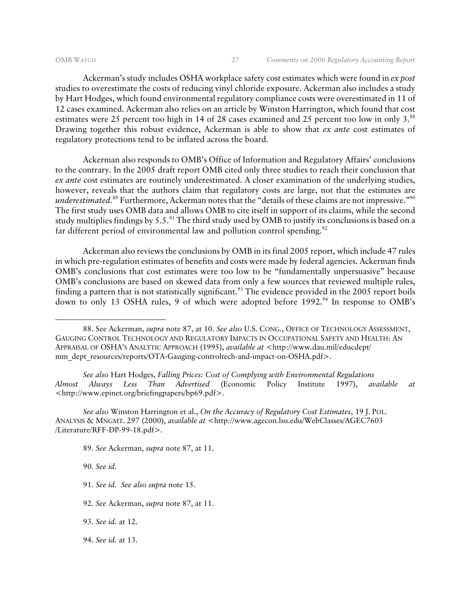Ackerman's study includes OSHA workplace safety cost estimates which were found in *ex post* studies to overestimate the costs of reducing vinyl chloride exposure. Ackerman also includes a study by Hart Hodges, which found environmental regulatory compliance costs were overestimated in 11 of 12 cases examined. Ackerman also relies on an article by Winston Harrington, which found that cost estimates were 25 percent too high in 14 of 28 cases examined and 25 percent too low in only 3.<sup>88</sup> Drawing together this robust evidence, Ackerman is able to show that *ex ante* cost estimates of regulatory protections tend to be inflated across the board.

Ackerman also responds to OMB's Office of Information and Regulatory Affairs' conclusions to the contrary. In the 2005 draft report OMB cited only three studies to reach their conclusion that *ex ante* cost estimates are routinely underestimated. A closer examination of the underlying studies, however, reveals that the authors claim that regulatory costs are large, not that the estimates are *underestimated*. 89 Furthermore, Ackerman notes that the "details of these claims are not impressive."90 The first study uses OMB data and allows OMB to cite itself in support of its claims, while the second study multiplies findings by 5.5. $^{91}$  The third study used by OMB to justify its conclusions is based on a far different period of environmental law and pollution control spending.<sup>92</sup>

Ackerman also reviews the conclusions by OMB in its final 2005 report, which include 47 rules in which pre-regulation estimates of benefits and costs were made by federal agencies. Ackerman finds OMB's conclusions that cost estimates were too low to be "fundamentally unpersuasive" because OMB's conclusions are based on skewed data from only a few sources that reviewed multiple rules, finding a pattern that is not statistically significant.<sup>93</sup> The evidence provided in the 2005 report boils down to only 13 OSHA rules, 9 of which were adopted before 1992.<sup>94</sup> In response to OMB's

*See also* Hart Hodges, *Falling Prices: Cost of Complying with Environmental Regulations Almost Always Less Than Advertised* (Economic Policy Institute 1997), *available at* <http://www.epinet.org/briefingpapers/bp69.pdf>.

*See also* Winston Harrington et al., *On the Accuracy of Regulatory Cost Estimates*, 19 J. POL. ANALYSIS & MNGMT. 297 (2000), *available at* <http://www.agecon.lsu.edu/WebClasses/AGEC7603 /Literature/RFF-DP-99-18.pdf>.

89. *See* Ackerman, *supra* note 87, at 11.

90. *See id*.

- 91. *See id*. *See also supra* note 15.
- 92. *See* Ackerman, *supra* note 87, at 11.

93. *See id.* at 12.

<sup>88.</sup> See Ackerman, *supra* note 87, at 10. *See also* U.S. CONG., OFFICE OF TECHNOLOGY ASSESSMENT, GAUGING CONTROL TECHNOLOGY AND REGULATORY IMPACTS IN OCCUPATIONAL SAFETY AND HEALTH: AN APPRAISAL OF OSHA'S ANALYTIC APPROACH (1995), *available at* <http://www.dau.mil/educdept/ mm\_dept\_resources/reports/OTA-Gauging-controltech-and-impact-on-OSHA.pdf>.

<sup>94.</sup> *See id.* at 13.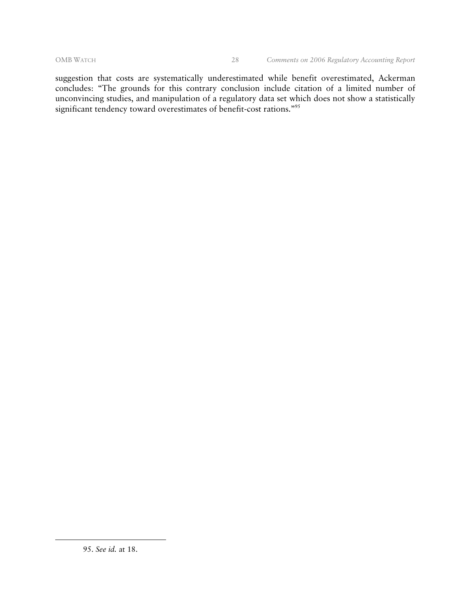suggestion that costs are systematically underestimated while benefit overestimated, Ackerman concludes: "The grounds for this contrary conclusion include citation of a limited number of unconvincing studies, and manipulation of a regulatory data set which does not show a statistically significant tendency toward overestimates of benefit-cost rations."95

<sup>95.</sup> *See id.* at 18.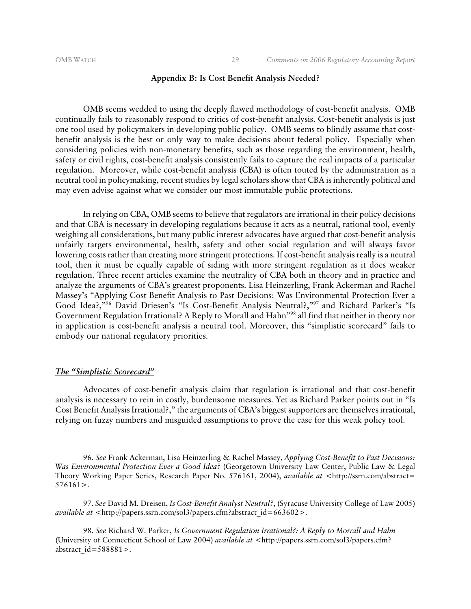#### **Appendix B: Is Cost Benefit Analysis Needed?**

OMB seems wedded to using the deeply flawed methodology of cost-benefit analysis. OMB continually fails to reasonably respond to critics of cost-benefit analysis. Cost-benefit analysis is just one tool used by policymakers in developing public policy. OMB seems to blindly assume that costbenefit analysis is the best or only way to make decisions about federal policy. Especially when considering policies with non-monetary benefits, such as those regarding the environment, health, safety or civil rights, cost-benefit analysis consistently fails to capture the real impacts of a particular regulation. Moreover, while cost-benefit analysis (CBA) is often touted by the administration as a neutral tool in policymaking, recent studies by legal scholars show that CBA is inherently political and may even advise against what we consider our most immutable public protections.

In relying on CBA, OMB seems to believe that regulators are irrational in their policy decisions and that CBA is necessary in developing regulations because it acts as a neutral, rational tool, evenly weighing all considerations, but many public interest advocates have argued that cost-benefit analysis unfairly targets environmental, health, safety and other social regulation and will always favor lowering costs rather than creating more stringent protections. If cost-benefit analysis really is a neutral tool, then it must be equally capable of siding with more stringent regulation as it does weaker regulation. Three recent articles examine the neutrality of CBA both in theory and in practice and analyze the arguments of CBA's greatest proponents. Lisa Heinzerling, Frank Ackerman and Rachel Massey's "Applying Cost Benefit Analysis to Past Decisions: Was Environmental Protection Ever a Good Idea?,"96 David Driesen's "Is Cost-Benefit Analysis Neutral?,"97 and Richard Parker's "Is Government Regulation Irrational? A Reply to Morall and Hahn"98 all find that neither in theory nor in application is cost-benefit analysis a neutral tool. Moreover, this "simplistic scorecard" fails to embody our national regulatory priorities.

#### *The "Simplistic Scorecard"*

-

Advocates of cost-benefit analysis claim that regulation is irrational and that cost-benefit analysis is necessary to rein in costly, burdensome measures. Yet as Richard Parker points out in "Is Cost Benefit Analysis Irrational?," the arguments of CBA's biggest supporters are themselves irrational, relying on fuzzy numbers and misguided assumptions to prove the case for this weak policy tool.

<sup>96.</sup> *See* Frank Ackerman, Lisa Heinzerling & Rachel Massey, *Applying Cost-Benefit to Past Decisions: Was Environmental Protection Ever a Good Idea?* (Georgetown University Law Center, Public Law & Legal Theory Working Paper Series, Research Paper No. 576161, 2004), *available at* <http://ssrn.com/abstract= 576161>.

<sup>97.</sup> *See* David M. Dreisen, *Is Cost-Benefit Analyst Neutral?*, (Syracuse University College of Law 2005) *available at* <http://papers.ssrn.com/sol3/papers.cfm?abstract\_id=663602>.

<sup>98.</sup> *See* Richard W. Parker, *Is Government Regulation Irrational?: A Reply to Morrall and Hahn* (University of Connecticut School of Law 2004) *available at* <http://papers.ssrn.com/sol3/papers.cfm? abstract\_id=588881>.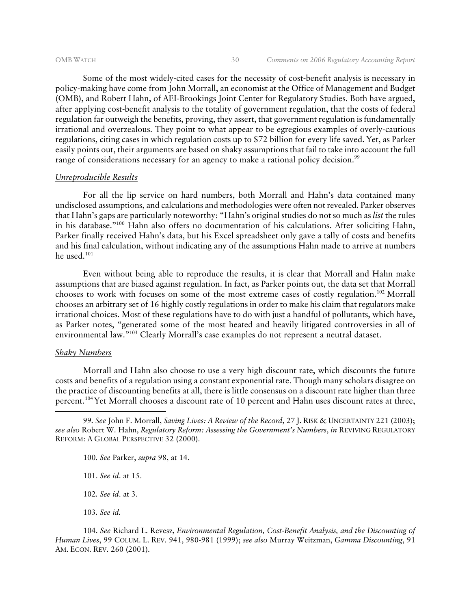Some of the most widely-cited cases for the necessity of cost-benefit analysis is necessary in policy-making have come from John Morrall, an economist at the Office of Management and Budget (OMB), and Robert Hahn, of AEI-Brookings Joint Center for Regulatory Studies. Both have argued, after applying cost-benefit analysis to the totality of government regulation, that the costs of federal regulation far outweigh the benefits, proving, they assert, that government regulation is fundamentally irrational and overzealous. They point to what appear to be egregious examples of overly-cautious regulations, citing cases in which regulation costs up to \$72 billion for every life saved. Yet, as Parker easily points out, their arguments are based on shaky assumptions that fail to take into account the full range of considerations necessary for an agency to make a rational policy decision.<sup>99</sup>

#### *Unreproducible Results*

For all the lip service on hard numbers, both Morrall and Hahn's data contained many undisclosed assumptions, and calculations and methodologies were often not revealed. Parker observes that Hahn's gaps are particularly noteworthy: "Hahn's original studies do not so much as *list* the rules in his database."100 Hahn also offers no documentation of his calculations. After soliciting Hahn, Parker finally received Hahn's data, but his Excel spreadsheet only gave a tally of costs and benefits and his final calculation, without indicating any of the assumptions Hahn made to arrive at numbers he used.101

Even without being able to reproduce the results, it is clear that Morrall and Hahn make assumptions that are biased against regulation. In fact, as Parker points out, the data set that Morrall chooses to work with focuses on some of the most extreme cases of costly regulation.102 Morrall chooses an arbitrary set of 16 highly costly regulations in order to make his claim that regulators make irrational choices. Most of these regulations have to do with just a handful of pollutants, which have, as Parker notes, "generated some of the most heated and heavily litigated controversies in all of environmental law."103 Clearly Morrall's case examples do not represent a neutral dataset.

#### *Shaky Numbers*

-

Morrall and Hahn also choose to use a very high discount rate, which discounts the future costs and benefits of a regulation using a constant exponential rate. Though many scholars disagree on the practice of discounting benefits at all, there is little consensus on a discount rate higher than three percent.104 Yet Morrall chooses a discount rate of 10 percent and Hahn uses discount rates at three,

- 100*. See* Parker, *supra* 98, at 14.
- 101. *See id*. at 15.

102*. See id*. at 3.

103*. See id.* 

104. *See* Richard L. Revesz, *Environmental Regulation, Cost-Benefit Analysis, and the Discounting of Human Lives*, 99 COLUM. L. REV. 941, 980-981 (1999); *see also* Murray Weitzman, *Gamma Discounting*, 91 AM. ECON. REV. 260 (2001).

<sup>99</sup>*. See* John F. Morrall, *Saving Lives: A Review of the Record*, 27 J. RISK & UNCERTAINTY 221 (2003); *see also* Robert W. Hahn, *Regulatory Reform: Assessing the Government's Numbers*, *in* REVIVING REGULATORY REFORM: A GLOBAL PERSPECTIVE 32 (2000).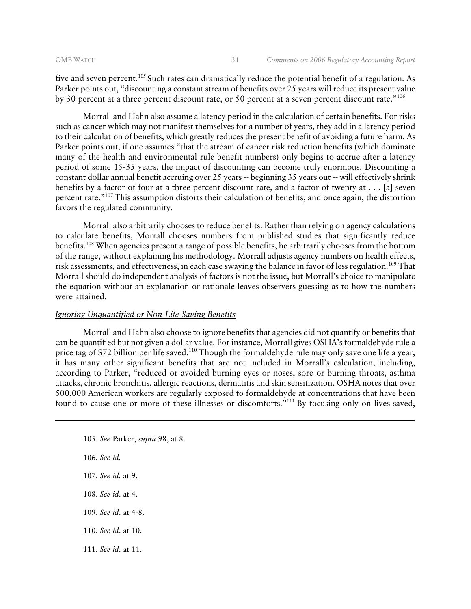five and seven percent.<sup>105</sup> Such rates can dramatically reduce the potential benefit of a regulation. As Parker points out, "discounting a constant stream of benefits over 25 years will reduce its present value by 30 percent at a three percent discount rate, or 50 percent at a seven percent discount rate."106

Morrall and Hahn also assume a latency period in the calculation of certain benefits. For risks such as cancer which may not manifest themselves for a number of years, they add in a latency period to their calculation of benefits, which greatly reduces the present benefit of avoiding a future harm. As Parker points out, if one assumes "that the stream of cancer risk reduction benefits (which dominate many of the health and environmental rule benefit numbers) only begins to accrue after a latency period of some 15-35 years, the impact of discounting can become truly enormous. Discounting a constant dollar annual benefit accruing over 25 years -- beginning 35 years out -- will effectively shrink benefits by a factor of four at a three percent discount rate, and a factor of twenty at . . . [a] seven percent rate."107 This assumption distorts their calculation of benefits, and once again, the distortion favors the regulated community.

Morrall also arbitrarily chooses to reduce benefits. Rather than relying on agency calculations to calculate benefits, Morrall chooses numbers from published studies that significantly reduce benefits.108 When agencies present a range of possible benefits, he arbitrarily chooses from the bottom of the range, without explaining his methodology. Morrall adjusts agency numbers on health effects, risk assessments, and effectiveness, in each case swaying the balance in favor of less regulation.<sup>109</sup> That Morrall should do independent analysis of factors is not the issue, but Morrall's choice to manipulate the equation without an explanation or rationale leaves observers guessing as to how the numbers were attained.

#### *Ignoring Unquantified or Non-Life-Saving Benefits*

Morrall and Hahn also choose to ignore benefits that agencies did not quantify or benefits that can be quantified but not given a dollar value. For instance, Morrall gives OSHA's formaldehyde rule a price tag of \$72 billion per life saved.<sup>110</sup> Though the formaldehyde rule may only save one life a year, it has many other significant benefits that are not included in Morrall's calculation, including, according to Parker, "reduced or avoided burning eyes or noses, sore or burning throats, asthma attacks, chronic bronchitis, allergic reactions, dermatitis and skin sensitization. OSHA notes that over 500,000 American workers are regularly exposed to formaldehyde at concentrations that have been found to cause one or more of these illnesses or discomforts.<sup>"111</sup> By focusing only on lives saved,

- 105. *See* Parker, *supra* 98, at 8.
- 106. *See id.*

- 107. *See id.* at 9.
- 108. *See id*. at 4.
- 109. *See id*. at 4-8.
- 110. *See id*. at 10.
- 111. *See id*. at 11.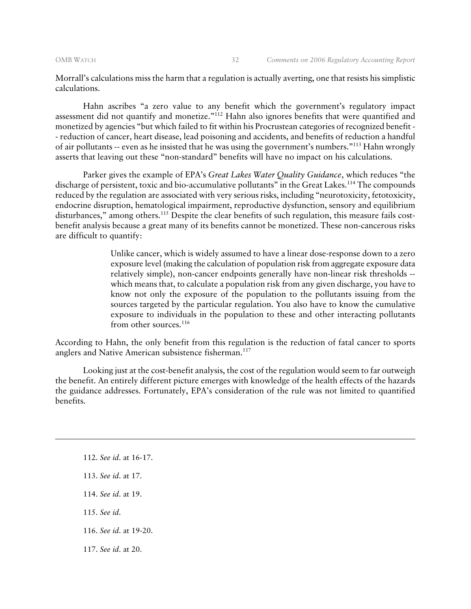Morrall's calculations miss the harm that a regulation is actually averting, one that resists his simplistic calculations.

Hahn ascribes "a zero value to any benefit which the government's regulatory impact assessment did not quantify and monetize."112 Hahn also ignores benefits that were quantified and monetized by agencies "but which failed to fit within his Procrustean categories of recognized benefit - - reduction of cancer, heart disease, lead poisoning and accidents, and benefits of reduction a handful of air pollutants -- even as he insisted that he was using the government's numbers."113 Hahn wrongly asserts that leaving out these "non-standard" benefits will have no impact on his calculations.

Parker gives the example of EPA's *Great Lakes Water Quality Guidance*, which reduces "the discharge of persistent, toxic and bio-accumulative pollutants" in the Great Lakes.<sup>114</sup> The compounds reduced by the regulation are associated with very serious risks, including "neurotoxicity, fetotoxicity, endocrine disruption, hematological impairment, reproductive dysfunction, sensory and equilibrium disturbances," among others.<sup>115</sup> Despite the clear benefits of such regulation, this measure fails costbenefit analysis because a great many of its benefits cannot be monetized. These non-cancerous risks are difficult to quantify:

> Unlike cancer, which is widely assumed to have a linear dose-response down to a zero exposure level (making the calculation of population risk from aggregate exposure data relatively simple), non-cancer endpoints generally have non-linear risk thresholds - which means that, to calculate a population risk from any given discharge, you have to know not only the exposure of the population to the pollutants issuing from the sources targeted by the particular regulation. You also have to know the cumulative exposure to individuals in the population to these and other interacting pollutants from other sources.<sup>116</sup>

According to Hahn, the only benefit from this regulation is the reduction of fatal cancer to sports anglers and Native American subsistence fisherman.<sup>117</sup>

Looking just at the cost-benefit analysis, the cost of the regulation would seem to far outweigh the benefit. An entirely different picture emerges with knowledge of the health effects of the hazards the guidance addresses. Fortunately, EPA's consideration of the rule was not limited to quantified benefits.

- 113. *See id*. at 17.
- 114. *See id*. at 19.
- 115. *See id*.

- 116. *See id*. at 19-20.
- 117. *See id*. at 20.

<sup>112.</sup> *See id*. at 16-17.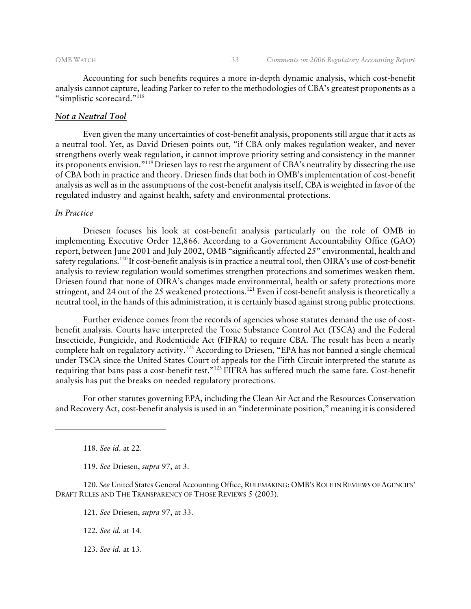Accounting for such benefits requires a more in-depth dynamic analysis, which cost-benefit analysis cannot capture, leading Parker to refer to the methodologies of CBA's greatest proponents as a "simplistic scorecard."118

#### *Not a Neutral Tool*

Even given the many uncertainties of cost-benefit analysis, proponents still argue that it acts as a neutral tool. Yet, as David Driesen points out, "if CBA only makes regulation weaker, and never strengthens overly weak regulation, it cannot improve priority setting and consistency in the manner its proponents envision."119 Driesen lays to rest the argument of CBA's neutrality by dissecting the use of CBA both in practice and theory. Driesen finds that both in OMB's implementation of cost-benefit analysis as well as in the assumptions of the cost-benefit analysis itself, CBA is weighted in favor of the regulated industry and against health, safety and environmental protections.

#### *In Practice*

Driesen focuses his look at cost-benefit analysis particularly on the role of OMB in implementing Executive Order 12,866. According to a Government Accountability Office (GAO) report, between June 2001 and July 2002, OMB "significantly affected 25" environmental, health and safety regulations.120 If cost-benefit analysis is in practice a neutral tool, then OIRA's use of cost-benefit analysis to review regulation would sometimes strengthen protections and sometimes weaken them. Driesen found that none of OIRA's changes made environmental, health or safety protections more stringent, and 24 out of the 25 weakened protections.<sup>121</sup> Even if cost-benefit analysis is theoretically a neutral tool, in the hands of this administration, it is certainly biased against strong public protections.

Further evidence comes from the records of agencies whose statutes demand the use of costbenefit analysis. Courts have interpreted the Toxic Substance Control Act (TSCA) and the Federal Insecticide, Fungicide, and Rodenticide Act (FIFRA) to require CBA. The result has been a nearly complete halt on regulatory activity.<sup>122</sup> According to Driesen, "EPA has not banned a single chemical under TSCA since the United States Court of appeals for the Fifth Circuit interpreted the statute as requiring that bans pass a cost-benefit test."123 FIFRA has suffered much the same fate. Cost-benefit analysis has put the breaks on needed regulatory protections.

For other statutes governing EPA, including the Clean Air Act and the Resources Conservation and Recovery Act, cost-benefit analysis is used in an "indeterminate position," meaning it is considered

118. *See id*. at 22.

-

119. *See* Driesen, *supra* 97, at 3.

120. *See* United States General Accounting Office, RULEMAKING: OMB'S ROLE IN REVIEWS OF AGENCIES' DRAFT RULES AND THE TRANSPARENCY OF THOSE REVIEWS 5 (2003).

121. *See* Driesen, *supra* 97, at 33.

122. *See id.* at 14.

123. *See id.* at 13.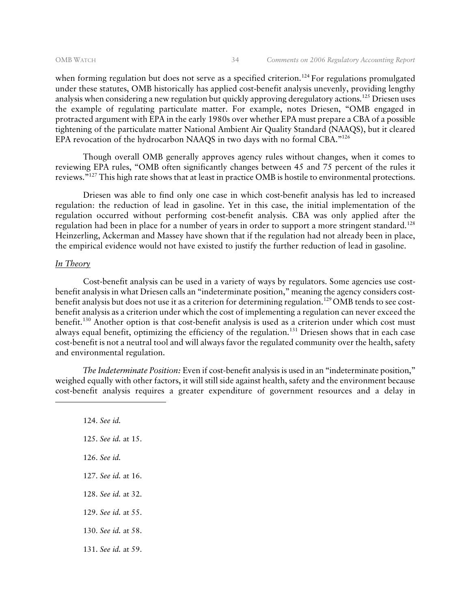when forming regulation but does not serve as a specified criterion.<sup>124</sup> For regulations promulgated under these statutes, OMB historically has applied cost-benefit analysis unevenly, providing lengthy analysis when considering a new regulation but quickly approving deregulatory actions.<sup>125</sup> Driesen uses the example of regulating particulate matter. For example, notes Driesen, "OMB engaged in protracted argument with EPA in the early 1980s over whether EPA must prepare a CBA of a possible tightening of the particulate matter National Ambient Air Quality Standard (NAAQS), but it cleared EPA revocation of the hydrocarbon NAAQS in two days with no formal CBA."126

Though overall OMB generally approves agency rules without changes, when it comes to reviewing EPA rules, "OMB often significantly changes between 45 and 75 percent of the rules it reviews."127 This high rate shows that at least in practice OMB is hostile to environmental protections.

Driesen was able to find only one case in which cost-benefit analysis has led to increased regulation: the reduction of lead in gasoline. Yet in this case, the initial implementation of the regulation occurred without performing cost-benefit analysis. CBA was only applied after the regulation had been in place for a number of years in order to support a more stringent standard.<sup>128</sup> Heinzerling, Ackerman and Massey have shown that if the regulation had not already been in place, the empirical evidence would not have existed to justify the further reduction of lead in gasoline.

#### *In Theory*

-

Cost-benefit analysis can be used in a variety of ways by regulators. Some agencies use costbenefit analysis in what Driesen calls an "indeterminate position," meaning the agency considers costbenefit analysis but does not use it as a criterion for determining regulation.<sup>129</sup> OMB tends to see costbenefit analysis as a criterion under which the cost of implementing a regulation can never exceed the benefit.130 Another option is that cost-benefit analysis is used as a criterion under which cost must always equal benefit, optimizing the efficiency of the regulation.<sup>131</sup> Driesen shows that in each case cost-benefit is not a neutral tool and will always favor the regulated community over the health, safety and environmental regulation.

 *The Indeterminate Position:* Even if cost-benefit analysis is used in an "indeterminate position," weighed equally with other factors, it will still side against health, safety and the environment because cost-benefit analysis requires a greater expenditure of government resources and a delay in

124. *See id.*  125. *See id.* at 15. 126. *See id.* 127. *See id.* at 16. 128. *See id.* at 32. 129. *See id.* at 55. 130. *See id.* at 58. 131. *See id.* at 59.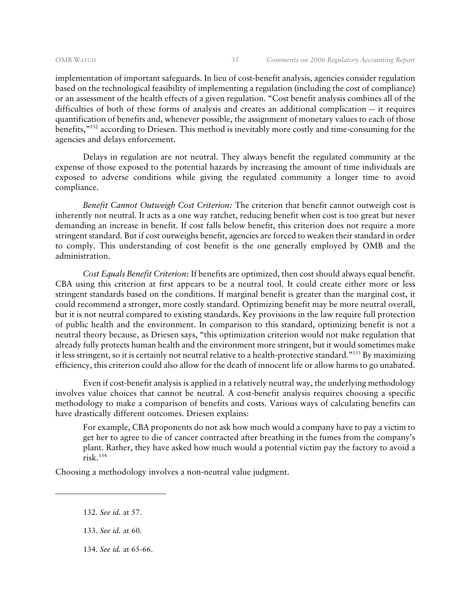implementation of important safeguards. In lieu of cost-benefit analysis, agencies consider regulation based on the technological feasibility of implementing a regulation (including the cost of compliance) or an assessment of the health effects of a given regulation. "Cost benefit analysis combines all of the difficulties of both of these forms of analysis and creates an additional complication -- it requires quantification of benefits and, whenever possible, the assignment of monetary values to each of those benefits,"132 according to Driesen. This method is inevitably more costly and time-consuming for the agencies and delays enforcement.

Delays in regulation are not neutral. They always benefit the regulated community at the expense of those exposed to the potential hazards by increasing the amount of time individuals are exposed to adverse conditions while giving the regulated community a longer time to avoid compliance.

 *Benefit Cannot Outweigh Cost Criterion:* The criterion that benefit cannot outweigh cost is inherently not neutral. It acts as a one way ratchet, reducing benefit when cost is too great but never demanding an increase in benefit. If cost falls below benefit, this criterion does not require a more stringent standard. But if cost outweighs benefit, agencies are forced to weaken their standard in order to comply. This understanding of cost benefit is the one generally employed by OMB and the administration.

 *Cost Equals Benefit Criterion:* If benefits are optimized, then cost should always equal benefit. CBA using this criterion at first appears to be a neutral tool. It could create either more or less stringent standards based on the conditions. If marginal benefit is greater than the marginal cost, it could recommend a stronger, more costly standard. Optimizing benefit may be more neutral overall, but it is not neutral compared to existing standards. Key provisions in the law require full protection of public health and the environment. In comparison to this standard, optimizing benefit is not a neutral theory because, as Driesen says, "this optimization criterion would not make regulation that already fully protects human health and the environment more stringent, but it would sometimes make it less stringent, so it is certainly not neutral relative to a health-protective standard."133 By maximizing efficiency, this criterion could also allow for the death of innocent life or allow harms to go unabated.

Even if cost-benefit analysis is applied in a relatively neutral way, the underlying methodology involves value choices that cannot be neutral. A cost-benefit analysis requires choosing a specific methodology to make a comparison of benefits and costs. Various ways of calculating benefits can have drastically different outcomes. Driesen explains:

For example, CBA proponents do not ask how much would a company have to pay a victim to get her to agree to die of cancer contracted after breathing in the fumes from the company's plant. Rather, they have asked how much would a potential victim pay the factory to avoid a  $\text{risk}$ .<sup>134</sup>

Choosing a methodology involves a non-neutral value judgment.

132. *See id.* at 57.

-

134. *See id.* at 65-66.

<sup>133.</sup> *See id.* at 60.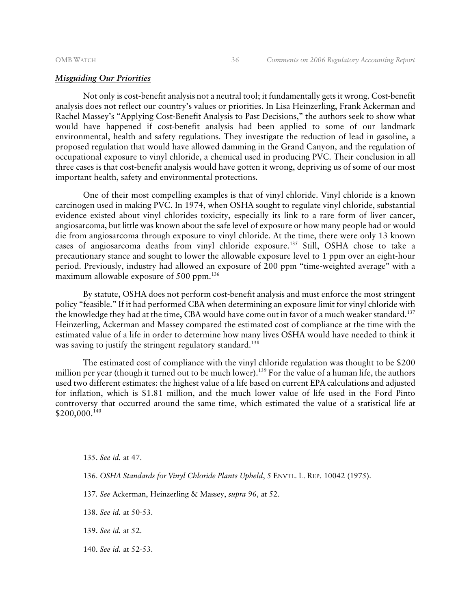#### *Misguiding Our Priorities*

Not only is cost-benefit analysis not a neutral tool; it fundamentally gets it wrong. Cost-benefit analysis does not reflect our country's values or priorities. In Lisa Heinzerling, Frank Ackerman and Rachel Massey's "Applying Cost-Benefit Analysis to Past Decisions," the authors seek to show what would have happened if cost-benefit analysis had been applied to some of our landmark environmental, health and safety regulations. They investigate the reduction of lead in gasoline, a proposed regulation that would have allowed damming in the Grand Canyon, and the regulation of occupational exposure to vinyl chloride, a chemical used in producing PVC. Their conclusion in all three cases is that cost-benefit analysis would have gotten it wrong, depriving us of some of our most important health, safety and environmental protections.

One of their most compelling examples is that of vinyl chloride. Vinyl chloride is a known carcinogen used in making PVC. In 1974, when OSHA sought to regulate vinyl chloride, substantial evidence existed about vinyl chlorides toxicity, especially its link to a rare form of liver cancer, angiosarcoma, but little was known about the safe level of exposure or how many people had or would die from angiosarcoma through exposure to vinyl chloride. At the time, there were only 13 known cases of angiosarcoma deaths from vinyl chloride exposure.135 Still, OSHA chose to take a precautionary stance and sought to lower the allowable exposure level to 1 ppm over an eight-hour period. Previously, industry had allowed an exposure of 200 ppm "time-weighted average" with a maximum allowable exposure of 500 ppm.<sup>136</sup>

By statute, OSHA does not perform cost-benefit analysis and must enforce the most stringent policy "feasible." If it had performed CBA when determining an exposure limit for vinyl chloride with the knowledge they had at the time, CBA would have come out in favor of a much weaker standard.<sup>137</sup> Heinzerling, Ackerman and Massey compared the estimated cost of compliance at the time with the estimated value of a life in order to determine how many lives OSHA would have needed to think it was saving to justify the stringent regulatory standard.<sup>138</sup>

The estimated cost of compliance with the vinyl chloride regulation was thought to be \$200 million per year (though it turned out to be much lower).<sup>139</sup> For the value of a human life, the authors used two different estimates: the highest value of a life based on current EPA calculations and adjusted for inflation, which is \$1.81 million, and the much lower value of life used in the Ford Pinto controversy that occurred around the same time, which estimated the value of a statistical life at \$200,000.140

- 137*. See* Ackerman, Heinzerling & Massey, *supra* 96, at 52.
- 138. *See id.* at 50-53.
- 139. *See id.* at 52.
- 140. *See id.* at 52-53.

<sup>135.</sup> *See id.* at 47.

<sup>136.</sup> *OSHA Standards for Vinyl Chloride Plants Upheld*, 5 ENVTL. L. REP. 10042 (1975).